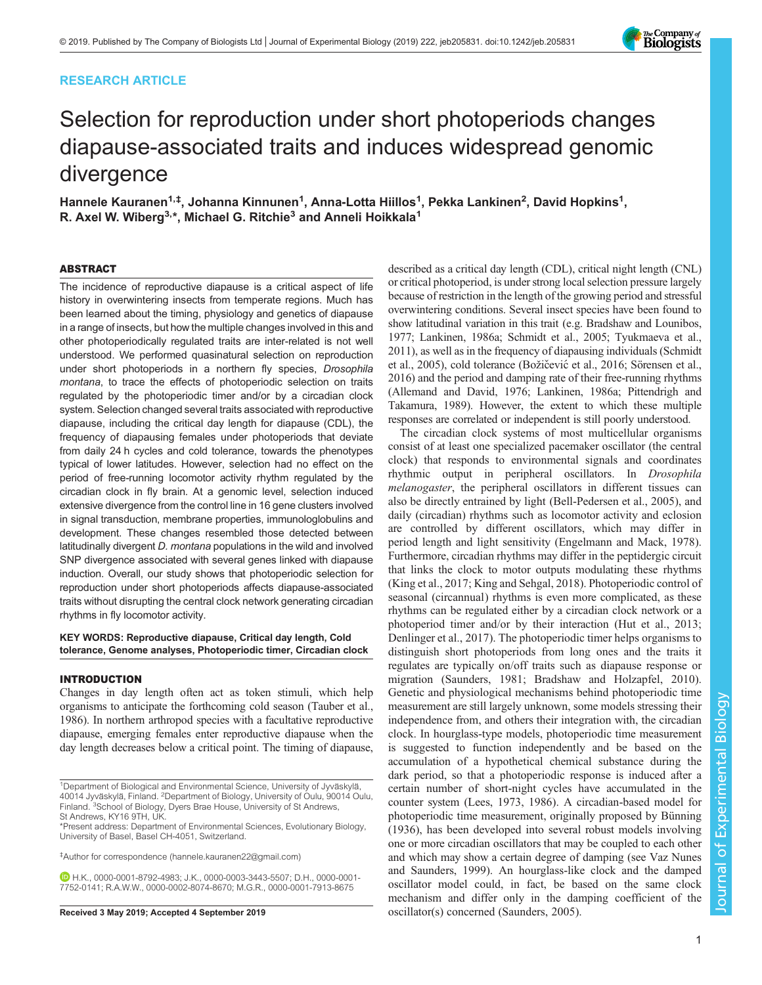# RESEARCH ARTICLE



# Selection for reproduction under short photoperiods changes diapause-associated traits and induces widespread genomic divergence

Hannele Kauranen<sup>1,‡</sup>, Johanna Kinnunen<sup>1</sup>, Anna-Lotta Hiillos<sup>1</sup>, Pekka Lankinen<sup>2</sup>, David Hopkins<sup>1</sup>, R. Axel W. Wiberg<sup>3,\*</sup>, Michael G. Ritchie<sup>3</sup> and Anneli Hoikkala<sup>1</sup>

#### ABSTRACT

The incidence of reproductive diapause is a critical aspect of life history in overwintering insects from temperate regions. Much has been learned about the timing, physiology and genetics of diapause in a range of insects, but how the multiple changes involved in this and other photoperiodically regulated traits are inter-related is not well understood. We performed quasinatural selection on reproduction under short photoperiods in a northern fly species, Drosophila montana, to trace the effects of photoperiodic selection on traits regulated by the photoperiodic timer and/or by a circadian clock system. Selection changed several traits associated with reproductive diapause, including the critical day length for diapause (CDL), the frequency of diapausing females under photoperiods that deviate from daily 24 h cycles and cold tolerance, towards the phenotypes typical of lower latitudes. However, selection had no effect on the period of free-running locomotor activity rhythm regulated by the circadian clock in fly brain. At a genomic level, selection induced extensive divergence from the control line in 16 gene clusters involved in signal transduction, membrane properties, immunologlobulins and development. These changes resembled those detected between latitudinally divergent D. montana populations in the wild and involved SNP divergence associated with several genes linked with diapause induction. Overall, our study shows that photoperiodic selection for reproduction under short photoperiods affects diapause-associated traits without disrupting the central clock network generating circadian rhythms in fly locomotor activity.

## KEY WORDS: Reproductive diapause, Critical day length, Cold tolerance, Genome analyses, Photoperiodic timer, Circadian clock

#### INTRODUCTION

Changes in day length often act as token stimuli, which help organisms to anticipate the forthcoming cold season [\(Tauber et al.,](#page-13-0) [1986\)](#page-13-0). In northern arthropod species with a facultative reproductive diapause, emerging females enter reproductive diapause when the day length decreases below a critical point. The timing of diapause,

‡ Author for correspondence ([hannele.kauranen22@gmail.com\)](mailto:hannele.kauranen22@gmail.com)

H.K., [0000-0001-8792-4983](http://orcid.org/0000-0001-8792-4983); J.K., [0000-0003-3443-5507;](http://orcid.org/0000-0003-3443-5507) D.H., [0000-0001-](http://orcid.org/0000-0001-7752-0141) [7752-0141](http://orcid.org/0000-0001-7752-0141); R.A.W.W., [0000-0002-8074-8670](http://orcid.org/0000-0002-8074-8670); M.G.R., [0000-0001-7913-8675](http://orcid.org/0000-0001-7913-8675)

described as a critical day length (CDL), critical night length (CNL) or critical photoperiod, is under strong local selection pressure largely because of restriction in the length of the growing period and stressful overwintering conditions. Several insect species have been found to show latitudinal variation in this trait (e.g. [Bradshaw and Lounibos,](#page-11-0) [1977;](#page-11-0) [Lankinen, 1986a](#page-12-0); [Schmidt et al., 2005; Tyukmaeva et al.,](#page-13-0) [2011\)](#page-13-0), as well as in the frequency of diapausing individuals [\(Schmidt](#page-13-0) [et al., 2005\)](#page-13-0), cold tolerance (Božičević [et al., 2016;](#page-11-0) [Sörensen et al.,](#page-13-0) [2016\)](#page-13-0) and the period and damping rate of their free-running rhythms [\(Allemand and David, 1976;](#page-11-0) [Lankinen, 1986a;](#page-12-0) [Pittendrigh and](#page-13-0) [Takamura, 1989](#page-13-0)). However, the extent to which these multiple responses are correlated or independent is still poorly understood.

The circadian clock systems of most multicellular organisms consist of at least one specialized pacemaker oscillator (the central clock) that responds to environmental signals and coordinates rhythmic output in peripheral oscillators. In Drosophila melanogaster, the peripheral oscillators in different tissues can also be directly entrained by light ([Bell-Pedersen et al., 2005](#page-11-0)), and daily (circadian) rhythms such as locomotor activity and eclosion are controlled by different oscillators, which may differ in period length and light sensitivity [\(Engelmann and Mack, 1978\)](#page-12-0). Furthermore, circadian rhythms may differ in the peptidergic circuit that links the clock to motor outputs modulating these rhythms [\(King et al., 2017; King and Sehgal, 2018\)](#page-12-0). Photoperiodic control of seasonal (circannual) rhythms is even more complicated, as these rhythms can be regulated either by a circadian clock network or a photoperiod timer and/or by their interaction ([Hut et al., 2013](#page-12-0); [Denlinger et al., 2017](#page-11-0)). The photoperiodic timer helps organisms to distinguish short photoperiods from long ones and the traits it regulates are typically on/off traits such as diapause response or migration ([Saunders, 1981](#page-13-0); [Bradshaw and Holzapfel, 2010\)](#page-11-0). Genetic and physiological mechanisms behind photoperiodic time measurement are still largely unknown, some models stressing their independence from, and others their integration with, the circadian clock. In hourglass-type models, photoperiodic time measurement is suggested to function independently and be based on the accumulation of a hypothetical chemical substance during the dark period, so that a photoperiodic response is induced after a certain number of short-night cycles have accumulated in the counter system [\(Lees, 1973, 1986\)](#page-12-0). A circadian-based model for photoperiodic time measurement, originally proposed by [Bünning](#page-11-0) [\(1936\)](#page-11-0), has been developed into several robust models involving one or more circadian oscillators that may be coupled to each other and which may show a certain degree of damping (see [Vaz Nunes](#page-13-0) [and Saunders, 1999\)](#page-13-0). An hourglass-like clock and the damped oscillator model could, in fact, be based on the same clock mechanism and differ only in the damping coefficient of the Received 3 May 2019; Accepted 4 September 2019 coscillator(s) concerned ([Saunders, 2005](#page-13-0)).

<sup>&</sup>lt;sup>1</sup>Department of Biological and Environmental Science, University of Jyväskylä, 40014 Jyväskylä, Finland. <sup>2</sup>Department of Biology, University of Oulu, 90014 Oulu, Finland. <sup>3</sup>School of Biology, Dyers Brae House, University of St Andrews,

St Andrews, KY16 9TH, UK.

<sup>\*</sup>Present address: Department of Environmental Sciences, Evolutionary Biology, University of Basel, Basel CH-4051, Switzerland.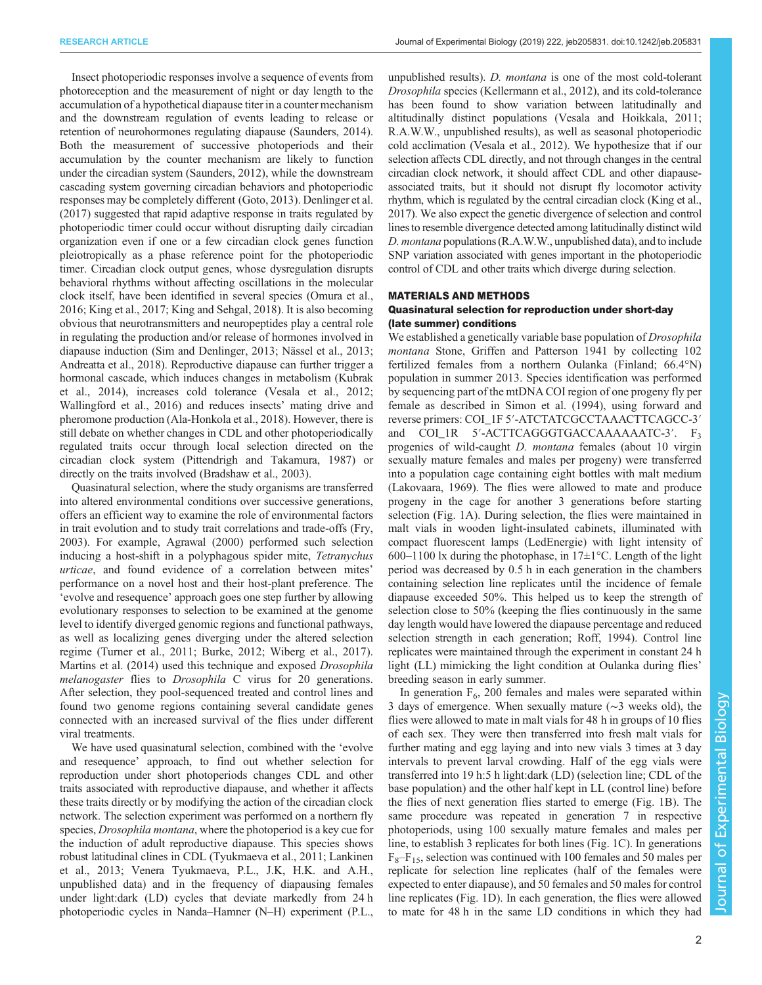Insect photoperiodic responses involve a sequence of events from photoreception and the measurement of night or day length to the accumulation of a hypothetical diapause titer in a counter mechanism and the downstream regulation of events leading to release or retention of neurohormones regulating diapause ([Saunders, 2014\)](#page-13-0). Both the measurement of successive photoperiods and their accumulation by the counter mechanism are likely to function under the circadian system [\(Saunders, 2012](#page-13-0)), while the downstream cascading system governing circadian behaviors and photoperiodic responses may be completely different ([Goto, 2013](#page-12-0)). [Denlinger et al.](#page-11-0) [\(2017\)](#page-11-0) suggested that rapid adaptive response in traits regulated by photoperiodic timer could occur without disrupting daily circadian organization even if one or a few circadian clock genes function pleiotropically as a phase reference point for the photoperiodic timer. Circadian clock output genes, whose dysregulation disrupts behavioral rhythms without affecting oscillations in the molecular clock itself, have been identified in several species [\(Omura et al.,](#page-12-0) [2016; King et al., 2017](#page-12-0); [King and Sehgal, 2018\)](#page-12-0). It is also becoming obvious that neurotransmitters and neuropeptides play a central role in regulating the production and/or release of hormones involved in diapause induction [\(Sim and Denlinger, 2013](#page-13-0); [Nässel et al., 2013](#page-12-0); [Andreatta et al., 2018](#page-11-0)). Reproductive diapause can further trigger a hormonal cascade, which induces changes in metabolism [\(Kubrak](#page-12-0) [et al., 2014\)](#page-12-0), increases cold tolerance [\(Vesala et al., 2012](#page-13-0); [Wallingford et al., 2016\)](#page-13-0) and reduces insects' mating drive and pheromone production [\(Ala-Honkola et al., 2018](#page-11-0)). However, there is still debate on whether changes in CDL and other photoperiodically regulated traits occur through local selection directed on the circadian clock system ([Pittendrigh and Takamura, 1987\)](#page-13-0) or directly on the traits involved [\(Bradshaw et al., 2003\)](#page-11-0).

Quasinatural selection, where the study organisms are transferred into altered environmental conditions over successive generations, offers an efficient way to examine the role of environmental factors in trait evolution and to study trait correlations and trade-offs ([Fry,](#page-12-0) [2003](#page-12-0)). For example, [Agrawal \(2000\)](#page-11-0) performed such selection inducing a host-shift in a polyphagous spider mite, Tetranychus urticae, and found evidence of a correlation between mites' performance on a novel host and their host-plant preference. The 'evolve and resequence' approach goes one step further by allowing evolutionary responses to selection to be examined at the genome level to identify diverged genomic regions and functional pathways, as well as localizing genes diverging under the altered selection regime ([Turner et al., 2011;](#page-13-0) [Burke, 2012;](#page-11-0) [Wiberg et al., 2017\)](#page-13-0). [Martins et al. \(2014\)](#page-12-0) used this technique and exposed Drosophila melanogaster flies to Drosophila C virus for 20 generations. After selection, they pool-sequenced treated and control lines and found two genome regions containing several candidate genes connected with an increased survival of the flies under different viral treatments.

We have used quasinatural selection, combined with the 'evolve and resequence' approach, to find out whether selection for reproduction under short photoperiods changes CDL and other traits associated with reproductive diapause, and whether it affects these traits directly or by modifying the action of the circadian clock network. The selection experiment was performed on a northern fly species, Drosophila montana, where the photoperiod is a key cue for the induction of adult reproductive diapause. This species shows robust latitudinal clines in CDL [\(Tyukmaeva et al., 2011;](#page-13-0) [Lankinen](#page-12-0) [et al., 2013](#page-12-0); Venera Tyukmaeva, P.L., J.K, H.K. and A.H., unpublished data) and in the frequency of diapausing females under light:dark (LD) cycles that deviate markedly from 24 h photoperiodic cycles in Nanda–Hamner (N–H) experiment (P.L.,

unpublished results). D. montana is one of the most cold-tolerant Drosophila species ([Kellermann et al., 2012\)](#page-12-0), and its cold-tolerance has been found to show variation between latitudinally and altitudinally distinct populations ([Vesala and Hoikkala, 2011](#page-13-0); R.A.W.W., unpublished results), as well as seasonal photoperiodic cold acclimation ([Vesala et al., 2012\)](#page-13-0). We hypothesize that if our selection affects CDL directly, and not through changes in the central circadian clock network, it should affect CDL and other diapauseassociated traits, but it should not disrupt fly locomotor activity rhythm, which is regulated by the central circadian clock [\(King et al.,](#page-12-0) [2017\)](#page-12-0). We also expect the genetic divergence of selection and control lines to resemble divergence detected among latitudinally distinct wild D. montana populations (R.A.W.W., unpublished data), and to include SNP variation associated with genes important in the photoperiodic control of CDL and other traits which diverge during selection.

## MATERIALS AND METHODS

# Quasinatural selection for reproduction under short-day (late summer) conditions

We established a genetically variable base population of *Drosophila* montana Stone, Griffen and Patterson 1941 by collecting 102 fertilized females from a northern Oulanka (Finland; 66.4°N) population in summer 2013. Species identification was performed by sequencing part of the mtDNA COI region of one progeny fly per female as described in [Simon et al. \(1994\),](#page-13-0) using forward and reverse primers: COI\_1F 5′-ATCTATCGCCTAAACTTCAGCC-3′ and COI\_1R 5′-ACTTCAGGGTGACCAAAAAAATC-3′. F<sub>3</sub> progenies of wild-caught D. montana females (about 10 virgin sexually mature females and males per progeny) were transferred into a population cage containing eight bottles with malt medium [\(Lakovaara, 1969\)](#page-12-0). The flies were allowed to mate and produce progeny in the cage for another 3 generations before starting selection [\(Fig. 1](#page-2-0)A). During selection, the flies were maintained in malt vials in wooden light-insulated cabinets, illuminated with compact fluorescent lamps (LedEnergie) with light intensity of 600–1100 lx during the photophase, in  $17 \pm 1$ °C. Length of the light period was decreased by 0.5 h in each generation in the chambers containing selection line replicates until the incidence of female diapause exceeded 50%. This helped us to keep the strength of selection close to 50% (keeping the flies continuously in the same day length would have lowered the diapause percentage and reduced selection strength in each generation; [Roff, 1994](#page-13-0)). Control line replicates were maintained through the experiment in constant 24 h light (LL) mimicking the light condition at Oulanka during flies' breeding season in early summer.

In generation  $F_6$ , 200 females and males were separated within 3 days of emergence. When sexually mature (∼3 weeks old), the flies were allowed to mate in malt vials for 48 h in groups of 10 flies of each sex. They were then transferred into fresh malt vials for further mating and egg laying and into new vials 3 times at 3 day intervals to prevent larval crowding. Half of the egg vials were transferred into 19 h:5 h light:dark (LD) (selection line; CDL of the base population) and the other half kept in LL (control line) before the flies of next generation flies started to emerge [\(Fig. 1](#page-2-0)B). The same procedure was repeated in generation 7 in respective photoperiods, using 100 sexually mature females and males per line, to establish 3 replicates for both lines ([Fig. 1C](#page-2-0)). In generations  $F_8-F_{15}$ , selection was continued with 100 females and 50 males per replicate for selection line replicates (half of the females were expected to enter diapause), and 50 females and 50 males for control line replicates ([Fig. 1](#page-2-0)D). In each generation, the flies were allowed to mate for 48 h in the same LD conditions in which they had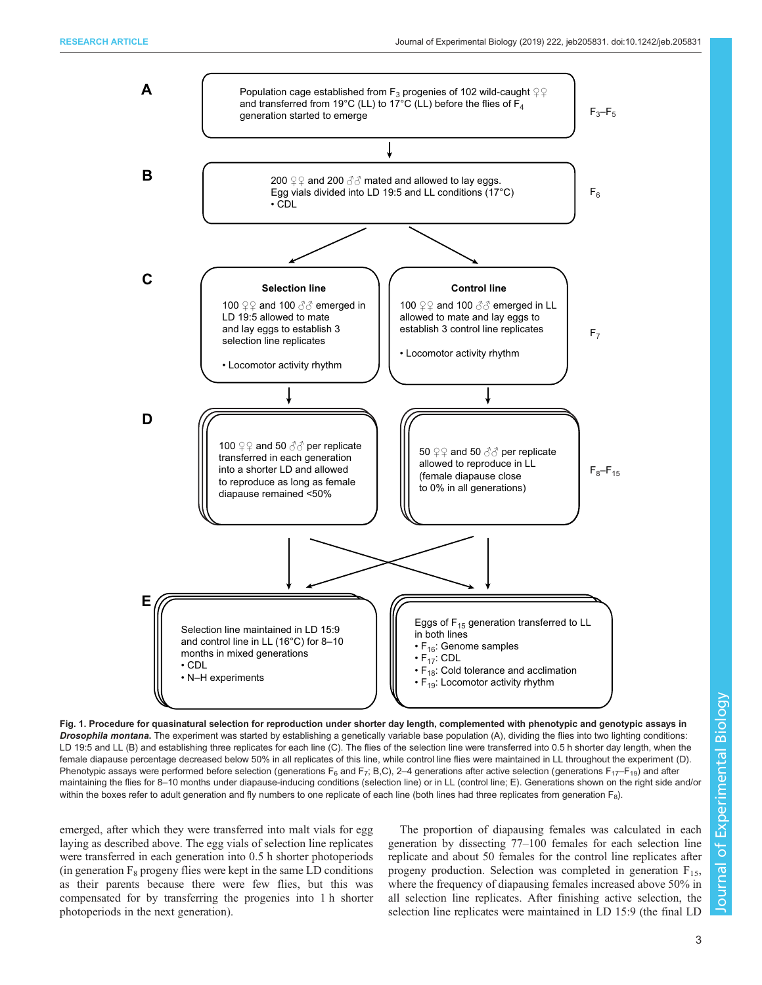<span id="page-2-0"></span>

Fig. 1. Procedure for quasinatural selection for reproduction under shorter day length, complemented with phenotypic and genotypic assays in Drosophila montana. The experiment was started by establishing a genetically variable base population (A), dividing the flies into two lighting conditions: LD 19:5 and LL (B) and establishing three replicates for each line (C). The flies of the selection line were transferred into 0.5 h shorter day length, when the female diapause percentage decreased below 50% in all replicates of this line, while control line flies were maintained in LL throughout the experiment (D). Phenotypic assays were performed before selection (generations  $F_6$  and  $F_7$ ; B,C), 2-4 generations after active selection (generations  $F_{17}$ - $F_{19}$ ) and after maintaining the flies for 8–10 months under diapause-inducing conditions (selection line) or in LL (control line; E). Generations shown on the right side and/or within the boxes refer to adult generation and fly numbers to one replicate of each line (both lines had three replicates from generation F<sub>8</sub>).

emerged, after which they were transferred into malt vials for egg laying as described above. The egg vials of selection line replicates were transferred in each generation into 0.5 h shorter photoperiods (in generation  $F_8$  progeny flies were kept in the same LD conditions as their parents because there were few flies, but this was compensated for by transferring the progenies into 1 h shorter photoperiods in the next generation).

The proportion of diapausing females was calculated in each generation by dissecting 77–100 females for each selection line replicate and about 50 females for the control line replicates after progeny production. Selection was completed in generation  $F_{15}$ , where the frequency of diapausing females increased above 50% in all selection line replicates. After finishing active selection, the selection line replicates were maintained in LD 15:9 (the final LD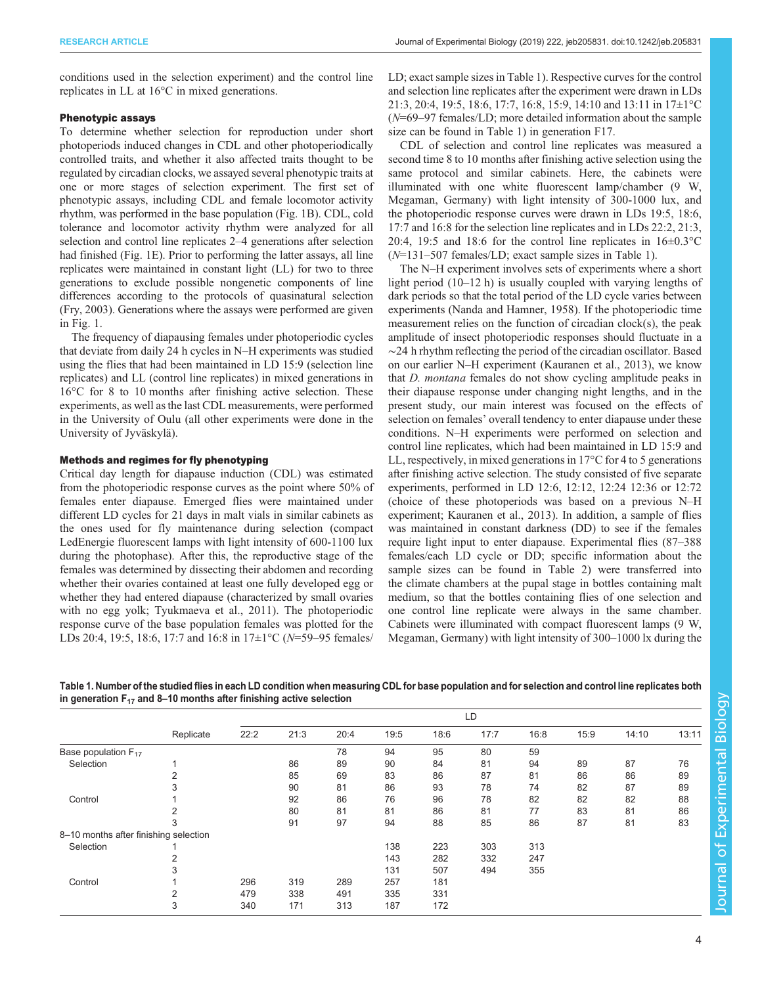<span id="page-3-0"></span>conditions used in the selection experiment) and the control line replicates in LL at 16°C in mixed generations.

# Phenotypic assays

To determine whether selection for reproduction under short photoperiods induced changes in CDL and other photoperiodically controlled traits, and whether it also affected traits thought to be regulated by circadian clocks, we assayed several phenotypic traits at one or more stages of selection experiment. The first set of phenotypic assays, including CDL and female locomotor activity rhythm, was performed in the base population ([Fig. 1](#page-2-0)B). CDL, cold tolerance and locomotor activity rhythm were analyzed for all selection and control line replicates 2–4 generations after selection had finished ([Fig. 1E](#page-2-0)). Prior to performing the latter assays, all line replicates were maintained in constant light (LL) for two to three generations to exclude possible nongenetic components of line differences according to the protocols of quasinatural selection [\(Fry, 2003](#page-12-0)). Generations where the assays were performed are given in [Fig. 1](#page-2-0).

The frequency of diapausing females under photoperiodic cycles that deviate from daily 24 h cycles in N–H experiments was studied using the flies that had been maintained in LD 15:9 (selection line replicates) and LL (control line replicates) in mixed generations in 16°C for 8 to 10 months after finishing active selection. These experiments, as well as the last CDL measurements, were performed in the University of Oulu (all other experiments were done in the University of Jyväskylä).

## Methods and regimes for fly phenotyping

Critical day length for diapause induction (CDL) was estimated from the photoperiodic response curves as the point where 50% of females enter diapause. Emerged flies were maintained under different LD cycles for 21 days in malt vials in similar cabinets as the ones used for fly maintenance during selection (compact LedEnergie fluorescent lamps with light intensity of 600-1100 lux during the photophase). After this, the reproductive stage of the females was determined by dissecting their abdomen and recording whether their ovaries contained at least one fully developed egg or whether they had entered diapause (characterized by small ovaries with no egg yolk; [Tyukmaeva et al., 2011\)](#page-13-0). The photoperiodic response curve of the base population females was plotted for the LDs 20:4, 19:5, 18:6, 17:7 and 16:8 in 17±1°C (N=59-95 females/

LD; exact sample sizes in Table 1). Respective curves for the control and selection line replicates after the experiment were drawn in LDs 21:3, 20:4, 19:5, 18:6, 17:7, 16:8, 15:9, 14:10 and 13:11 in 17±1°C (N=69–97 females/LD; more detailed information about the sample size can be found in Table 1) in generation F17.

CDL of selection and control line replicates was measured a second time 8 to 10 months after finishing active selection using the same protocol and similar cabinets. Here, the cabinets were illuminated with one white fluorescent lamp/chamber (9 W, Megaman, Germany) with light intensity of 300-1000 lux, and the photoperiodic response curves were drawn in LDs 19:5, 18:6, 17:7 and 16:8 for the selection line replicates and in LDs 22:2, 21:3, 20:4, 19:5 and 18:6 for the control line replicates in  $16\pm0.3\textdegree C$ (N=131–507 females/LD; exact sample sizes in Table 1).

The N–H experiment involves sets of experiments where a short light period (10–12 h) is usually coupled with varying lengths of dark periods so that the total period of the LD cycle varies between experiments [\(Nanda and Hamner, 1958](#page-12-0)). If the photoperiodic time measurement relies on the function of circadian clock(s), the peak amplitude of insect photoperiodic responses should fluctuate in a ∼24 h rhythm reflecting the period of the circadian oscillator. Based on our earlier N–H experiment [\(Kauranen et al., 2013\)](#page-12-0), we know that D. montana females do not show cycling amplitude peaks in their diapause response under changing night lengths, and in the present study, our main interest was focused on the effects of selection on females' overall tendency to enter diapause under these conditions. N–H experiments were performed on selection and control line replicates, which had been maintained in LD 15:9 and LL, respectively, in mixed generations in 17°C for 4 to 5 generations after finishing active selection. The study consisted of five separate experiments, performed in LD 12:6, 12:12, 12:24 12:36 or 12:72 (choice of these photoperiods was based on a previous N–H experiment; [Kauranen et al., 2013](#page-12-0)). In addition, a sample of flies was maintained in constant darkness (DD) to see if the females require light input to enter diapause. Experimental flies (87–388 females/each LD cycle or DD; specific information about the sample sizes can be found in [Table 2](#page-4-0)) were transferred into the climate chambers at the pupal stage in bottles containing malt medium, so that the bottles containing flies of one selection and one control line replicate were always in the same chamber. Cabinets were illuminated with compact fluorescent lamps (9 W, Megaman, Germany) with light intensity of 300–1000 lx during the

|                                       |           | LD   |      |      |      |      |      |      |      |       |       |
|---------------------------------------|-----------|------|------|------|------|------|------|------|------|-------|-------|
|                                       | Replicate | 22:2 | 21:3 | 20:4 | 19:5 | 18:6 | 17:7 | 16:8 | 15:9 | 14:10 | 13:11 |
| Base population $F_{17}$              |           |      |      | 78   | 94   | 95   | 80   | 59   |      |       |       |
| Selection                             |           |      | 86   | 89   | 90   | 84   | 81   | 94   | 89   | 87    | 76    |
|                                       |           |      | 85   | 69   | 83   | 86   | 87   | 81   | 86   | 86    | 89    |
|                                       |           |      | 90   | 81   | 86   | 93   | 78   | 74   | 82   | 87    | 89    |
| Control                               |           |      | 92   | 86   | 76   | 96   | 78   | 82   | 82   | 82    | 88    |
|                                       |           |      | 80   | 81   | 81   | 86   | 81   | 77   | 83   | 81    | 86    |
|                                       |           |      | 91   | 97   | 94   | 88   | 85   | 86   | 87   | 81    | 83    |
| 8-10 months after finishing selection |           |      |      |      |      |      |      |      |      |       |       |
| Selection                             |           |      |      |      | 138  | 223  | 303  | 313  |      |       |       |
|                                       |           |      |      |      | 143  | 282  | 332  | 247  |      |       |       |
|                                       | 3         |      |      |      | 131  | 507  | 494  | 355  |      |       |       |
| Control                               |           | 296  | 319  | 289  | 257  | 181  |      |      |      |       |       |
|                                       |           | 479  | 338  | 491  | 335  | 331  |      |      |      |       |       |
|                                       | 3         | 340  | 171  | 313  | 187  | 172  |      |      |      |       |       |

Table 1. Number of the studied flies in each LD condition when measuring CDL for base population and for selection and control line replicates both in generation  $F_{17}$  and 8–10 months after finishing active selection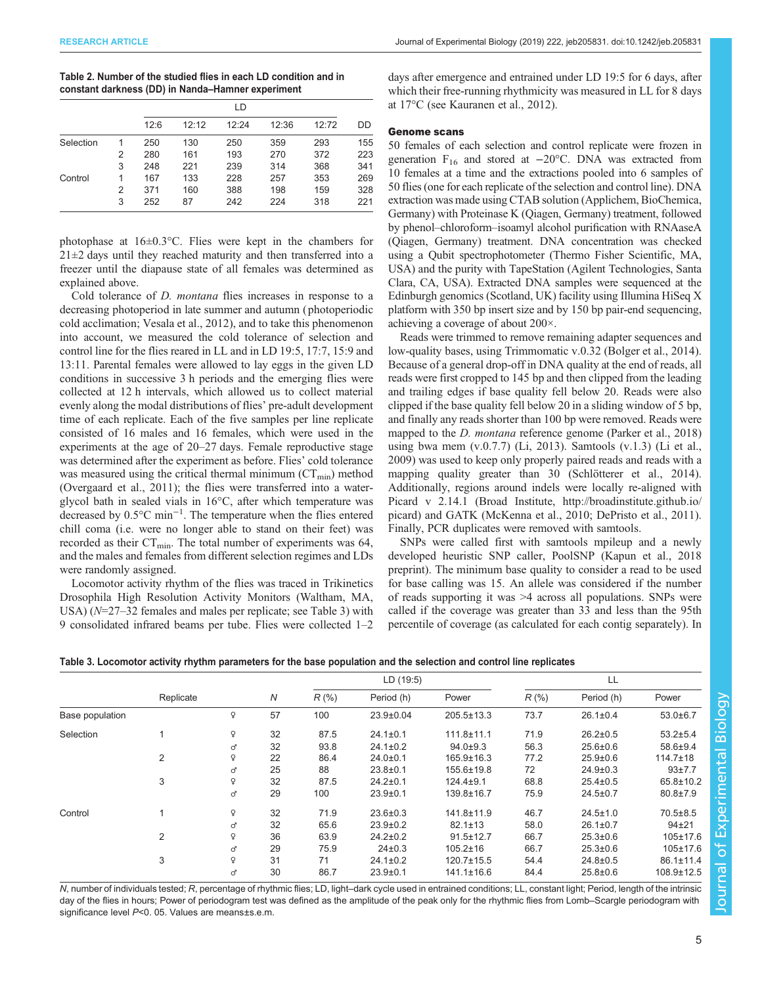<span id="page-4-0"></span>

| Table 2. Number of the studied flies in each LD condition and in |
|------------------------------------------------------------------|
| constant darkness (DD) in Nanda-Hamner experiment                |

|           |   |      | LD    |       |       |       |     |  |  |
|-----------|---|------|-------|-------|-------|-------|-----|--|--|
|           |   | 12:6 | 12:12 | 12:24 | 12:36 | 12:72 | DD  |  |  |
| Selection |   | 250  | 130   | 250   | 359   | 293   | 155 |  |  |
|           | 2 | 280  | 161   | 193   | 270   | 372   | 223 |  |  |
|           | 3 | 248  | 221   | 239   | 314   | 368   | 341 |  |  |
| Control   |   | 167  | 133   | 228   | 257   | 353   | 269 |  |  |
|           | 2 | 371  | 160   | 388   | 198   | 159   | 328 |  |  |
|           | 3 | 252  | 87    | 242   | 224   | 318   | 221 |  |  |

photophase at 16±0.3°C. Flies were kept in the chambers for  $21\pm2$  days until they reached maturity and then transferred into a freezer until the diapause state of all females was determined as explained above.

Cold tolerance of D. montana flies increases in response to a decreasing photoperiod in late summer and autumn ( photoperiodic cold acclimation; [Vesala et al., 2012](#page-13-0)), and to take this phenomenon into account, we measured the cold tolerance of selection and control line for the flies reared in LL and in LD 19:5, 17:7, 15:9 and 13:11. Parental females were allowed to lay eggs in the given LD conditions in successive 3 h periods and the emerging flies were collected at 12 h intervals, which allowed us to collect material evenly along the modal distributions of flies' pre-adult development time of each replicate. Each of the five samples per line replicate consisted of 16 males and 16 females, which were used in the experiments at the age of 20–27 days. Female reproductive stage was determined after the experiment as before. Flies' cold tolerance was measured using the critical thermal minimum  $(CT_{min})$  method [\(Overgaard et al., 2011\)](#page-12-0); the flies were transferred into a waterglycol bath in sealed vials in 16°C, after which temperature was decreased by 0.5°C min−<sup>1</sup> . The temperature when the flies entered chill coma (i.e. were no longer able to stand on their feet) was recorded as their  $CT_{min}$ . The total number of experiments was 64, and the males and females from different selection regimes and LDs were randomly assigned.

Locomotor activity rhythm of the flies was traced in Trikinetics Drosophila High Resolution Activity Monitors (Waltham, MA, USA) (N=27–32 females and males per replicate; see Table 3) with 9 consolidated infrared beams per tube. Flies were collected 1–2

days after emergence and entrained under LD 19:5 for 6 days, after which their free-running rhythmicity was measured in LL for 8 days at 17°C (see [Kauranen et al., 2012\)](#page-12-0).

## Genome scans

50 females of each selection and control replicate were frozen in generation  $F_{16}$  and stored at  $-20^{\circ}$ C. DNA was extracted from 10 females at a time and the extractions pooled into 6 samples of 50 flies (one for each replicate of the selection and control line). DNA extraction was made using CTAB solution (Applichem, BioChemica, Germany) with Proteinase K (Qiagen, Germany) treatment, followed by phenol–chloroform–isoamyl alcohol purification with RNAaseA (Qiagen, Germany) treatment. DNA concentration was checked using a Qubit spectrophotometer (Thermo Fisher Scientific, MA, USA) and the purity with TapeStation (Agilent Technologies, Santa Clara, CA, USA). Extracted DNA samples were sequenced at the Edinburgh genomics (Scotland, UK) facility using Illumina HiSeq X platform with 350 bp insert size and by 150 bp pair-end sequencing, achieving a coverage of about 200×.

Reads were trimmed to remove remaining adapter sequences and low-quality bases, using Trimmomatic v.0.32 ([Bolger et al., 2014\)](#page-11-0). Because of a general drop-off in DNA quality at the end of reads, all reads were first cropped to 145 bp and then clipped from the leading and trailing edges if base quality fell below 20. Reads were also clipped if the base quality fell below 20 in a sliding window of 5 bp, and finally any reads shorter than 100 bp were removed. Reads were mapped to the *D. montana* reference genome [\(Parker et al., 2018\)](#page-12-0) using bwa mem (v.0.7.7) ([Li, 2013](#page-12-0)). Samtools (v.1.3) [\(Li et al.,](#page-12-0) [2009\)](#page-12-0) was used to keep only properly paired reads and reads with a mapping quality greater than 30 ([Schlötterer et al., 2014\)](#page-13-0). Additionally, regions around indels were locally re-aligned with Picard v 2.14.1 (Broad Institute, [http://broadinstitute.github.io/](http://broadinstitute.github.io/picard) [picard\)](http://broadinstitute.github.io/picard) and GATK [\(McKenna et al., 2010; DePristo et al., 2011\)](#page-12-0). Finally, PCR duplicates were removed with samtools.

SNPs were called first with samtools mpileup and a newly developed heuristic SNP caller, PoolSNP [\(Kapun et al., 2018](#page-12-0) preprint). The minimum base quality to consider a read to be used for base calling was 15. An allele was considered if the number of reads supporting it was >4 across all populations. SNPs were called if the coverage was greater than 33 and less than the 95th percentile of coverage (as calculated for each contig separately). In

|  |  |  | Table 3. Locomotor activity rhythm parameters for the base population and the selection and control line replicates |  |  |  |
|--|--|--|---------------------------------------------------------------------------------------------------------------------|--|--|--|
|  |  |  |                                                                                                                     |  |  |  |
|  |  |  |                                                                                                                     |  |  |  |

|                 |           |   |    |         | LD(19:5)        |                  |          | LL             |                  |
|-----------------|-----------|---|----|---------|-----------------|------------------|----------|----------------|------------------|
|                 | Replicate |   | N  | $R$ (%) | Period (h)      | Power            | $R(\% )$ | Period (h)     | Power            |
| Base population |           | ç | 57 | 100     | $23.9 \pm 0.04$ | 205.5±13.3       | 73.7     | $26.1 \pm 0.4$ | $53.0 \pm 6.7$   |
| Selection       |           | Q | 32 | 87.5    | $24.1 \pm 0.1$  | $111.8 + 11.1$   | 71.9     | $26.2 \pm 0.5$ | $53.2 \pm 5.4$   |
|                 |           | ď | 32 | 93.8    | $24.1 \pm 0.2$  | $94.0 \pm 9.3$   | 56.3     | $25.6 \pm 0.6$ | $58.6 \pm 9.4$   |
|                 | 2         | ¥ | 22 | 86.4    | $24.0 \pm 0.1$  | $165.9 \pm 16.3$ | 77.2     | $25.9 \pm 0.6$ | $114.7 \pm 18$   |
|                 |           | ď | 25 | 88      | $23.8 \pm 0.1$  | 155.6±19.8       | 72       | $24.9 \pm 0.3$ | $93+7.7$         |
|                 | 3         | ¥ | 32 | 87.5    | $24.2 \pm 0.1$  | $124.4 \pm 9.1$  | 68.8     | $25.4 \pm 0.5$ | 65.8±10.2        |
|                 |           | ď | 29 | 100     | $23.9 \pm 0.1$  | 139.8±16.7       | 75.9     | $24.5 \pm 0.7$ | $80.8 \pm 7.9$   |
| Control         |           | Q | 32 | 71.9    | $23.6 \pm 0.3$  | 141.8±11.9       | 46.7     | $24.5 \pm 1.0$ | $70.5 \pm 8.5$   |
|                 |           | ď | 32 | 65.6    | $23.9 \pm 0.2$  | $82.1 \pm 13$    | 58.0     | $26.1 \pm 0.7$ | $94 + 21$        |
|                 | 2         | Q | 36 | 63.9    | $24.2 \pm 0.2$  | $91.5 \pm 12.7$  | 66.7     | $25.3 \pm 0.6$ | $105 \pm 17.6$   |
|                 |           | ď | 29 | 75.9    | $24 \pm 0.3$    | $105.2 \pm 16$   | 66.7     | $25.3 \pm 0.6$ | 105±17.6         |
|                 | 3         | ¥ | 31 | 71      | $24.1 \pm 0.2$  | $120.7 \pm 15.5$ | 54.4     | $24.8 \pm 0.5$ | $86.1 \pm 11.4$  |
|                 |           | ď | 30 | 86.7    | $23.9 \pm 0.1$  | 141.1±16.6       | 84.4     | $25.8 \pm 0.6$ | $108.9 \pm 12.5$ |

N, number of individuals tested; R, percentage of rhythmic flies; LD, light–dark cycle used in entrained conditions; LL, constant light; Period, length of the intrinsic day of the flies in hours; Power of periodogram test was defined as the amplitude of the peak only for the rhythmic flies from Lomb–Scargle periodogram with significance level P<0. 05. Values are means±s.e.m.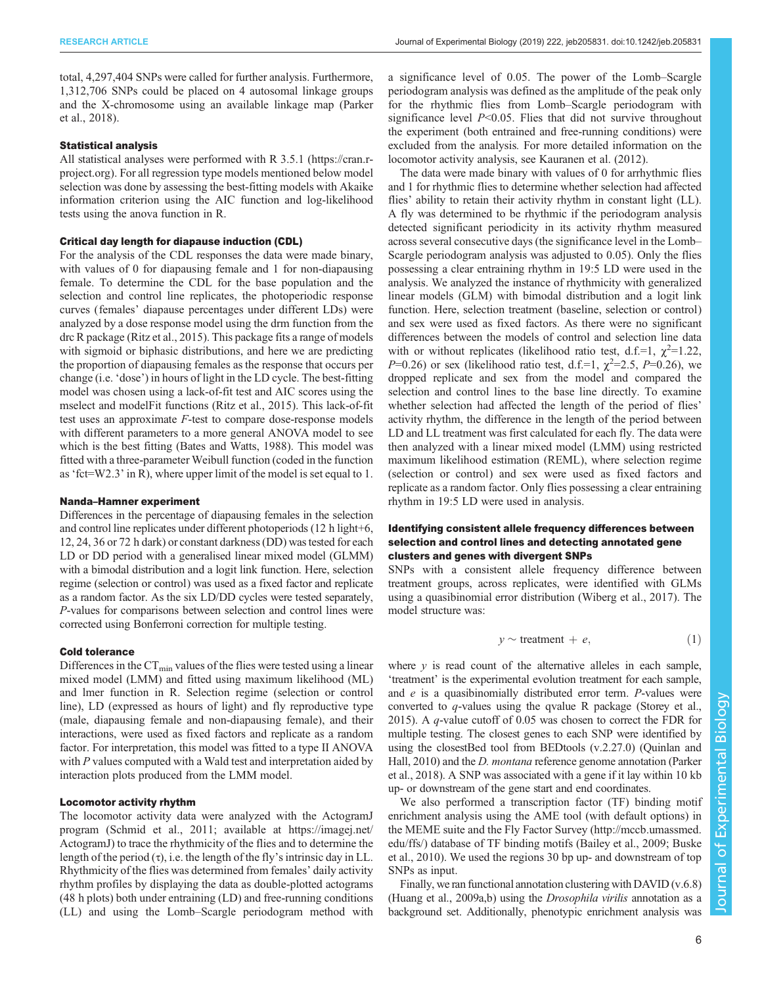total, 4,297,404 SNPs were called for further analysis. Furthermore, 1,312,706 SNPs could be placed on 4 autosomal linkage groups and the X-chromosome using an available linkage map ([Parker](#page-12-0) [et al., 2018\)](#page-12-0).

#### Statistical analysis

All statistical analyses were performed with R 3.5.1 [\(https://cran.r](https://cran.r-project.org/)[project.org\)](https://cran.r-project.org/). For all regression type models mentioned below model selection was done by assessing the best-fitting models with Akaike information criterion using the AIC function and log-likelihood tests using the anova function in R.

#### Critical day length for diapause induction (CDL)

For the analysis of the CDL responses the data were made binary, with values of 0 for diapausing female and 1 for non-diapausing female. To determine the CDL for the base population and the selection and control line replicates, the photoperiodic response curves (females' diapause percentages under different LDs) were analyzed by a dose response model using the drm function from the drc R package [\(Ritz et al., 2015](#page-13-0)). This package fits a range of models with sigmoid or biphasic distributions, and here we are predicting the proportion of diapausing females as the response that occurs per change (i.e. 'dose') in hours of light in the LD cycle. The best-fitting model was chosen using a lack-of-fit test and AIC scores using the mselect and modelFit functions [\(Ritz et al., 2015\)](#page-13-0). This lack-of-fit test uses an approximate F-test to compare dose-response models with different parameters to a more general ANOVA model to see which is the best fitting ([Bates and Watts, 1988\)](#page-11-0). This model was fitted with a three-parameter Weibull function (coded in the function as 'fct=W2.3' in R), where upper limit of the model is set equal to 1.

#### Nanda–Hamner experiment

Differences in the percentage of diapausing females in the selection and control line replicates under different photoperiods (12 h light+6, 12, 24, 36 or 72 h dark) or constant darkness (DD) was tested for each LD or DD period with a generalised linear mixed model (GLMM) with a bimodal distribution and a logit link function. Here, selection regime (selection or control) was used as a fixed factor and replicate as a random factor. As the six LD/DD cycles were tested separately, P-values for comparisons between selection and control lines were corrected using Bonferroni correction for multiple testing.

#### Cold tolerance

Differences in the  $CT_{min}$  values of the flies were tested using a linear mixed model (LMM) and fitted using maximum likelihood (ML) and lmer function in R. Selection regime (selection or control line), LD (expressed as hours of light) and fly reproductive type (male, diapausing female and non-diapausing female), and their interactions, were used as fixed factors and replicate as a random factor. For interpretation, this model was fitted to a type II ANOVA with P values computed with a Wald test and interpretation aided by interaction plots produced from the LMM model.

# Locomotor activity rhythm

The locomotor activity data were analyzed with the ActogramJ program [\(Schmid et al., 2011;](#page-13-0) available at [https://imagej.net/](https://imagej.net/ActogramJ) [ActogramJ](https://imagej.net/ActogramJ)) to trace the rhythmicity of the flies and to determine the length of the period  $(\tau)$ , i.e. the length of the fly's intrinsic day in LL. Rhythmicity of the flies was determined from females' daily activity rhythm profiles by displaying the data as double-plotted actograms (48 h plots) both under entraining (LD) and free-running conditions (LL) and using the Lomb–Scargle periodogram method with

a significance level of 0.05. The power of the Lomb–Scargle periodogram analysis was defined as the amplitude of the peak only for the rhythmic flies from Lomb–Scargle periodogram with significance level  $P<0.05$ . Flies that did not survive throughout the experiment (both entrained and free-running conditions) were excluded from the analysis. For more detailed information on the locomotor activity analysis, see [Kauranen et al. \(2012\).](#page-12-0)

The data were made binary with values of 0 for arrhythmic flies and 1 for rhythmic flies to determine whether selection had affected flies' ability to retain their activity rhythm in constant light (LL). A fly was determined to be rhythmic if the periodogram analysis detected significant periodicity in its activity rhythm measured across several consecutive days (the significance level in the Lomb– Scargle periodogram analysis was adjusted to 0.05). Only the flies possessing a clear entraining rhythm in 19:5 LD were used in the analysis. We analyzed the instance of rhythmicity with generalized linear models (GLM) with bimodal distribution and a logit link function. Here, selection treatment (baseline, selection or control) and sex were used as fixed factors. As there were no significant differences between the models of control and selection line data with or without replicates (likelihood ratio test, d.f.=1,  $\chi^2$ =1.22, P=0.26) or sex (likelihood ratio test, d.f.=1,  $\chi^2$ =2.5, P=0.26), we dropped replicate and sex from the model and compared the selection and control lines to the base line directly. To examine whether selection had affected the length of the period of flies' activity rhythm, the difference in the length of the period between LD and LL treatment was first calculated for each fly. The data were then analyzed with a linear mixed model (LMM) using restricted maximum likelihood estimation (REML), where selection regime (selection or control) and sex were used as fixed factors and replicate as a random factor. Only flies possessing a clear entraining rhythm in 19:5 LD were used in analysis.

# Identifying consistent allele frequency differences between selection and control lines and detecting annotated gene clusters and genes with divergent SNPs

SNPs with a consistent allele frequency difference between treatment groups, across replicates, were identified with GLMs using a quasibinomial error distribution ([Wiberg et al., 2017](#page-13-0)). The model structure was:

$$
y \sim \text{treatment} + e,\tag{1}
$$

where  $y$  is read count of the alternative alleles in each sample, 'treatment' is the experimental evolution treatment for each sample, and e is a quasibinomially distributed error term. P-values were converted to q-values using the qvalue R package ([Storey et al.,](#page-13-0) [2015\)](#page-13-0). A q-value cutoff of 0.05 was chosen to correct the FDR for multiple testing. The closest genes to each SNP were identified by using the closestBed tool from BEDtools (v.2.27.0) [\(Quinlan and](#page-13-0) [Hall, 2010\)](#page-13-0) and the D. montana reference genome annotation [\(Parker](#page-12-0) [et al., 2018\)](#page-12-0). A SNP was associated with a gene if it lay within 10 kb up- or downstream of the gene start and end coordinates.

We also performed a transcription factor (TF) binding motif enrichment analysis using the AME tool (with default options) in the MEME suite and the Fly Factor Survey ([http://mccb.umassmed.](http://mccb.umassmed.edu/ffs/) [edu/ffs/\)](http://mccb.umassmed.edu/ffs/) database of TF binding motifs [\(Bailey et al., 2009](#page-11-0); [Buske](#page-11-0) [et al., 2010\)](#page-11-0). We used the regions 30 bp up- and downstream of top SNPs as input.

Finally, we ran functional annotation clustering with DAVID  $(v.6.8)$ [\(Huang et al., 2009a,b\)](#page-12-0) using the *Drosophila virilis* annotation as a background set. Additionally, phenotypic enrichment analysis was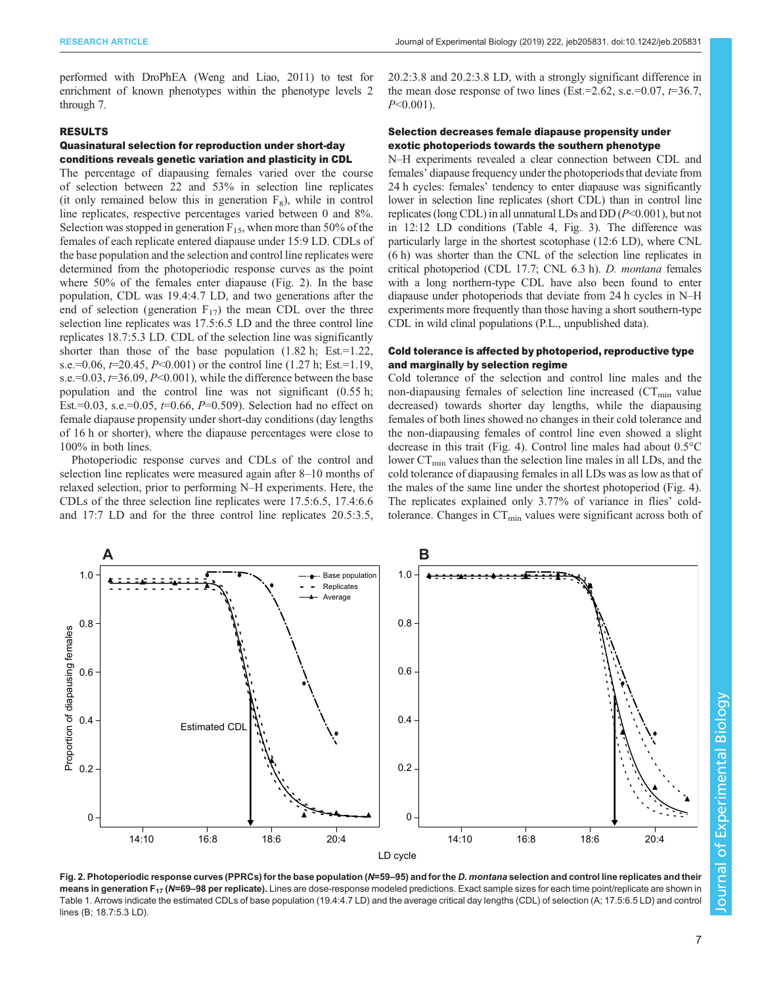performed with DroPhEA [\(Weng and Liao, 2011](#page-13-0)) to test for enrichment of known phenotypes within the phenotype levels 2 through 7.

## RESULTS

# Quasinatural selection for reproduction under short-day conditions reveals genetic variation and plasticity in CDL

The percentage of diapausing females varied over the course of selection between 22 and 53% in selection line replicates (it only remained below this in generation  $F_8$ ), while in control line replicates, respective percentages varied between 0 and 8%. Selection was stopped in generation  $F_{15}$ , when more than 50% of the females of each replicate entered diapause under 15:9 LD. CDLs of the base population and the selection and control line replicates were determined from the photoperiodic response curves as the point where 50% of the females enter diapause (Fig. 2). In the base population, CDL was 19.4:4.7 LD, and two generations after the end of selection (generation  $F_{17}$ ) the mean CDL over the three selection line replicates was 17.5:6.5 LD and the three control line replicates 18.7:5.3 LD. CDL of the selection line was significantly shorter than those of the base population  $(1.82 \text{ h}; \text{ Est.} = 1.22, \text{h})$ s.e.=0.06,  $t=20.45$ ,  $P<0.001$ ) or the control line (1.27 h; Est.=1.19, s.e.= $0.03$ ,  $t=36.09$ ,  $P<0.001$ ), while the difference between the base population and the control line was not significant (0.55 h; Est.=0.03, s.e.=0.05,  $t=0.66$ ,  $P=0.509$ ). Selection had no effect on female diapause propensity under short-day conditions (day lengths of 16 h or shorter), where the diapause percentages were close to 100% in both lines.

Photoperiodic response curves and CDLs of the control and selection line replicates were measured again after 8–10 months of relaxed selection, prior to performing N–H experiments. Here, the CDLs of the three selection line replicates were 17.5:6.5, 17.4:6.6 and 17:7 LD and for the three control line replicates 20.5:3.5,

20.2:3.8 and 20.2:3.8 LD, with a strongly significant difference in the mean dose response of two lines (Est.=2.62, s.e.=0.07,  $t=36.7$ ,  $P<0.001$ ).

# Selection decreases female diapause propensity under exotic photoperiods towards the southern phenotype

N–H experiments revealed a clear connection between CDL and females' diapause frequency under the photoperiods that deviate from 24 h cycles: females' tendency to enter diapause was significantly lower in selection line replicates (short CDL) than in control line replicates (long CDL) in all unnatural LDs and DD  $(P<0.001)$ , but not in 12:12 LD conditions [\(Table 4, Fig. 3\)](#page-7-0). The difference was particularly large in the shortest scotophase (12:6 LD), where CNL (6 h) was shorter than the CNL of the selection line replicates in critical photoperiod (CDL 17.7; CNL 6.3 h). D. montana females with a long northern-type CDL have also been found to enter diapause under photoperiods that deviate from 24 h cycles in N–H experiments more frequently than those having a short southern-type CDL in wild clinal populations (P.L., unpublished data).

# Cold tolerance is affected by photoperiod, reproductive type and marginally by selection regime

Cold tolerance of the selection and control line males and the non-diapausing females of selection line increased  $(CT_{min}$  value decreased) towards shorter day lengths, while the diapausing females of both lines showed no changes in their cold tolerance and the non-diapausing females of control line even showed a slight decrease in this trait ([Fig. 4\)](#page-8-0). Control line males had about 0.5°C lower  $CT_{min}$  values than the selection line males in all LDs, and the cold tolerance of diapausing females in all LDs was as low as that of the males of the same line under the shortest photoperiod [\(Fig. 4\)](#page-8-0). The replicates explained only 3.77% of variance in flies' coldtolerance. Changes in  $CT_{\text{min}}$  values were significant across both of



Fig. 2. Photoperiodic response curves (PPRCs) for the base population (N=59-95) and for the D. montana selection and control line replicates and their means in generation  $F_{17}$  (N=69–98 per replicate). Lines are dose-response modeled predictions. Exact sample sizes for each time point/replicate are shown in [Table 1](#page-3-0). Arrows indicate the estimated CDLs of base population (19.4:4.7 LD) and the average critical day lengths (CDL) of selection (A; 17.5:6.5 LD) and control lines (B; 18.7:5.3 LD).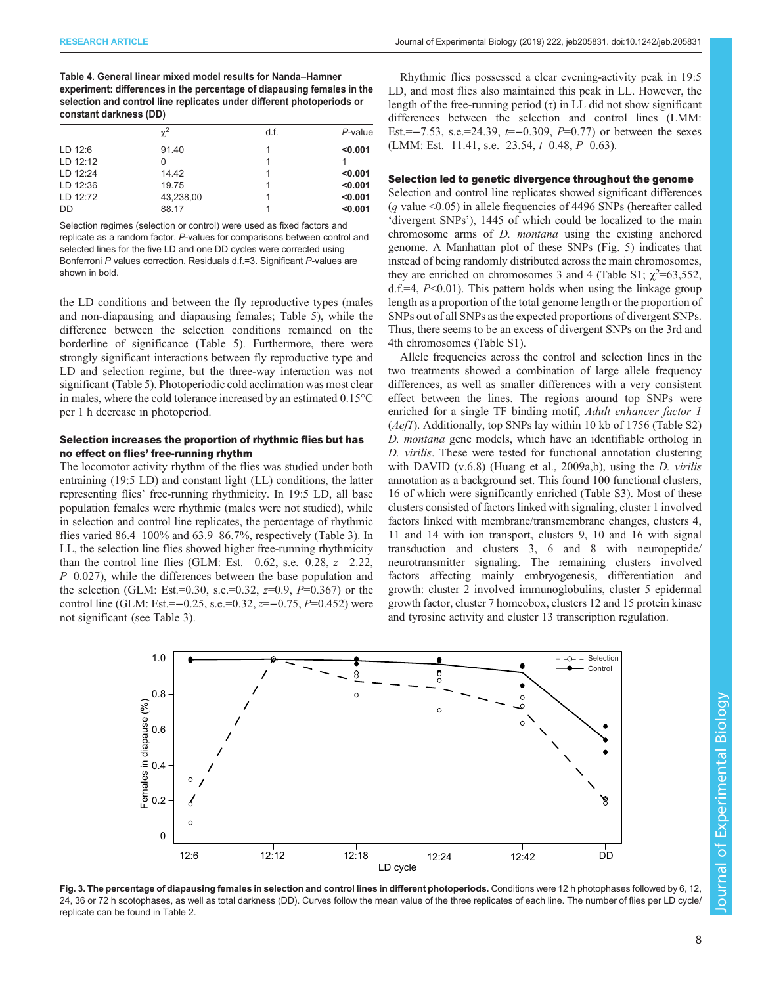<span id="page-7-0"></span>Table 4. General linear mixed model results for Nanda–Hamner experiment: differences in the percentage of diapausing females in the selection and control line replicates under different photoperiods or constant darkness (DD)

|            | $\chi^2$  | d.f. | P-value |
|------------|-----------|------|---------|
| LD $12:6$  | 91.40     |      | < 0.001 |
| $LD$ 12:12 |           |      |         |
| LD $12:24$ | 14.42     |      | < 0.001 |
| LD 12:36   | 19.75     |      | < 0.001 |
| LD 12:72   | 43,238,00 |      | < 0.001 |
| DD         | 88.17     |      | < 0.001 |

Selection regimes (selection or control) were used as fixed factors and replicate as a random factor. P-values for comparisons between control and selected lines for the five LD and one DD cycles were corrected using Bonferroni P values correction. Residuals d.f.=3. Significant P-values are shown in bold.

the LD conditions and between the fly reproductive types (males and non-diapausing and diapausing females; [Table 5\)](#page-8-0), while the difference between the selection conditions remained on the borderline of significance [\(Table 5](#page-8-0)). Furthermore, there were strongly significant interactions between fly reproductive type and LD and selection regime, but the three-way interaction was not significant ([Table 5\)](#page-8-0). Photoperiodic cold acclimation was most clear in males, where the cold tolerance increased by an estimated 0.15°C per 1 h decrease in photoperiod.

## Selection increases the proportion of rhythmic flies but has no effect on flies' free-running rhythm

The locomotor activity rhythm of the flies was studied under both entraining (19:5 LD) and constant light (LL) conditions, the latter representing flies' free-running rhythmicity. In 19:5 LD, all base population females were rhythmic (males were not studied), while in selection and control line replicates, the percentage of rhythmic flies varied 86.4–100% and 63.9–86.7%, respectively ([Table 3](#page-4-0)). In LL, the selection line flies showed higher free-running rhythmicity than the control line flies (GLM: Est.=  $0.62$ , s.e.= $0.28$ ,  $z= 2.22$ ,  $P=0.027$ , while the differences between the base population and the selection (GLM: Est.=0.30, s.e.=0.32,  $z=0.9$ ,  $P=0.367$ ) or the control line (GLM: Est.=−0.25, s.e.=0.32,  $z=-0.75$ ,  $P=0.452$ ) were not significant (see [Table 3\)](#page-4-0).

Rhythmic flies possessed a clear evening-activity peak in 19:5 LD, and most flies also maintained this peak in LL. However, the length of the free-running period  $(\tau)$  in LL did not show significant differences between the selection and control lines (LMM: Est.=−7.53, s.e.=24.39,  $t=-0.309$ ,  $P=0.77$ ) or between the sexes (LMM: Est.=11.41, s.e.=23.54, t=0.48, P=0.63).

#### Selection led to genetic divergence throughout the genome

Selection and control line replicates showed significant differences ( $q$  value <0.05) in allele frequencies of 4496 SNPs (hereafter called 'divergent SNPs'), 1445 of which could be localized to the main chromosome arms of D. montana using the existing anchored genome. A Manhattan plot of these SNPs [\(Fig. 5\)](#page-9-0) indicates that instead of being randomly distributed across the main chromosomes, they are enriched on chromosomes 3 and 4 (Table S1;  $\chi^2$ =63,552,  $d.f.=4$ ,  $P<0.01$ ). This pattern holds when using the linkage group length as a proportion of the total genome length or the proportion of SNPs out of all SNPs as the expected proportions of divergent SNPs. Thus, there seems to be an excess of divergent SNPs on the 3rd and 4th chromosomes (Table S1).

Allele frequencies across the control and selection lines in the two treatments showed a combination of large allele frequency differences, as well as smaller differences with a very consistent effect between the lines. The regions around top SNPs were enriched for a single TF binding motif, Adult enhancer factor 1 (*Aef1*). Additionally, top SNPs lay within 10 kb of 1756 (Table S2) D. montana gene models, which have an identifiable ortholog in D. virilis. These were tested for functional annotation clustering with DAVID (v.6.8) [\(Huang et al., 2009a](#page-12-0),[b](#page-11-0)), using the *D. virilis* annotation as a background set. This found 100 functional clusters, 16 of which were significantly enriched (Table S3). Most of these clusters consisted of factors linked with signaling, cluster 1 involved factors linked with membrane/transmembrane changes, clusters 4, 11 and 14 with ion transport, clusters 9, 10 and 16 with signal transduction and clusters 3, 6 and 8 with neuropeptide/ neurotransmitter signaling. The remaining clusters involved factors affecting mainly embryogenesis, differentiation and growth: cluster 2 involved immunoglobulins, cluster 5 epidermal growth factor, cluster 7 homeobox, clusters 12 and 15 protein kinase and tyrosine activity and cluster 13 transcription regulation.



Fig. 3. The percentage of diapausing females in selection and control lines in different photoperiods. Conditions were 12 h photophases followed by 6, 12 24, 36 or 72 h scotophases, as well as total darkness (DD). Curves follow the mean value of the three replicates of each line. The number of flies per LD cycle/ replicate can be found in [Table 2.](#page-4-0)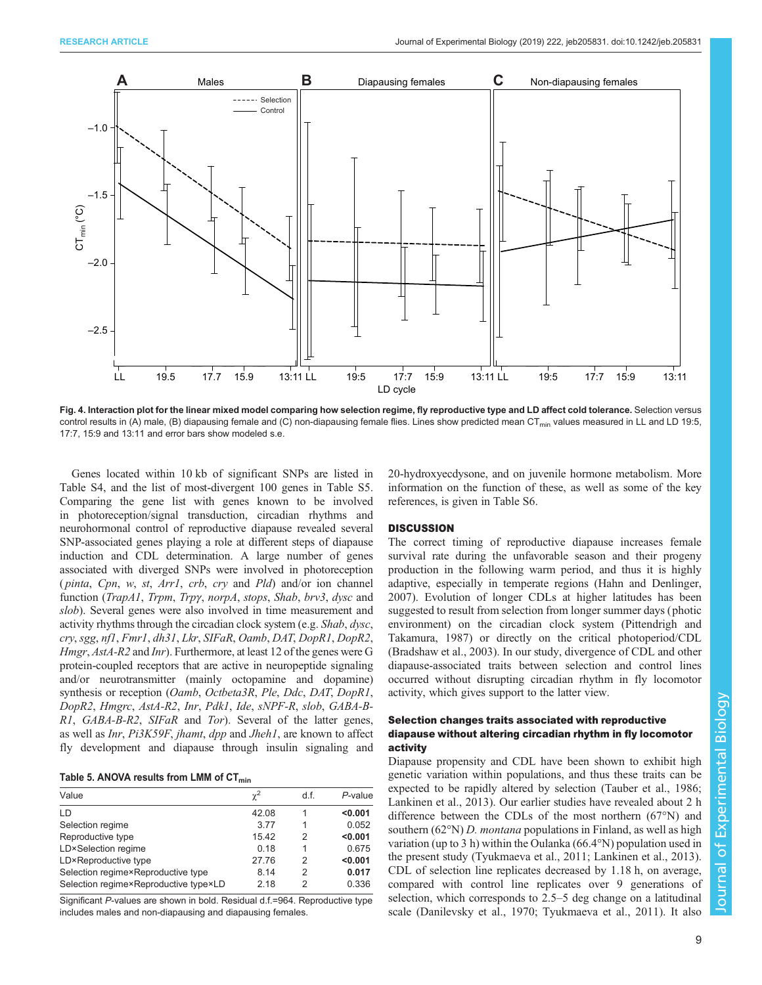<span id="page-8-0"></span>

Fig. 4. Interaction plot for the linear mixed model comparing how selection regime, fly reproductive type and LD affect cold tolerance. Selection versus control results in (A) male, (B) diapausing female and (C) non-diapausing female flies. Lines show predicted mean CT<sub>min</sub> values measured in LL and LD 19:5, 17:7, 15:9 and 13:11 and error bars show modeled s.e.

Genes located within 10 kb of significant SNPs are listed in Table S4, and the list of most-divergent 100 genes in Table S5. Comparing the gene list with genes known to be involved in photoreception/signal transduction, circadian rhythms and neurohormonal control of reproductive diapause revealed several SNP-associated genes playing a role at different steps of diapause induction and CDL determination. A large number of genes associated with diverged SNPs were involved in photoreception (*pinta, Cpn, w, st, Arr1, crb, cry* and *Pld*) and/or ion channel function (TrapA1, Trpm, Trpy, norpA, stops, Shab, brv3, dysc and slob). Several genes were also involved in time measurement and activity rhythms through the circadian clock system (e.g. Shab, dysc, cry, sgg, nf1, Fmr1, dh31, Lkr, SIFaR, Oamb, DAT, DopR1, DopR2, Hmgr, AstA-R2 and Inr). Furthermore, at least 12 of the genes were G protein-coupled receptors that are active in neuropeptide signaling and/or neurotransmitter (mainly octopamine and dopamine) synthesis or reception (Oamb, Octbeta3R, Ple, Ddc, DAT, DopR1, DopR2, Hmgrc, AstA-R2, Inr, Pdk1, Ide, sNPF-R, slob, GABA-B-R1, GABA-B-R2, SIFaR and Tor). Several of the latter genes, as well as Inr, Pi3K59F, jhamt, dpp and Jheh1, are known to affect fly development and diapause through insulin signaling and

| Table 5. ANOVA results from LMM of CT <sub>min</sub> |  |  |  |  |  |
|------------------------------------------------------|--|--|--|--|--|
|------------------------------------------------------|--|--|--|--|--|

| Value                                 | $\chi^2$ | d.f. | $P$ -value |
|---------------------------------------|----------|------|------------|
| LD                                    | 42.08    |      | < 0.001    |
| Selection regime                      | 3.77     |      | 0.052      |
| Reproductive type                     | 15.42    | 2    | < 0.001    |
| LD×Selection regime                   | 0.18     |      | 0.675      |
| LD×Reproductive type                  | 27.76    | 2    | < 0.001    |
| Selection regime×Reproductive type    | 8.14     | 2    | 0.017      |
| Selection regime×Reproductive type×LD | 2.18     | 2    | 0.336      |
|                                       |          |      |            |

Significant P-values are shown in bold. Residual d.f.=964. Reproductive type includes males and non-diapausing and diapausing females.

20-hydroxyecdysone, and on juvenile hormone metabolism. More information on the function of these, as well as some of the key references, is given in Table S6.

#### **DISCUSSION**

The correct timing of reproductive diapause increases female survival rate during the unfavorable season and their progeny production in the following warm period, and thus it is highly adaptive, especially in temperate regions ([Hahn and Denlinger,](#page-12-0) [2007\)](#page-12-0). Evolution of longer CDLs at higher latitudes has been suggested to result from selection from longer summer days ( photic environment) on the circadian clock system ([Pittendrigh and](#page-13-0) [Takamura, 1987\)](#page-13-0) or directly on the critical photoperiod/CDL [\(Bradshaw et al., 2003](#page-11-0)). In our study, divergence of CDL and other diapause-associated traits between selection and control lines occurred without disrupting circadian rhythm in fly locomotor activity, which gives support to the latter view.

# Selection changes traits associated with reproductive diapause without altering circadian rhythm in fly locomotor activity

Diapause propensity and CDL have been shown to exhibit high genetic variation within populations, and thus these traits can be expected to be rapidly altered by selection [\(Tauber et al., 1986](#page-13-0); [Lankinen et al., 2013](#page-12-0)). Our earlier studies have revealed about 2 h difference between the CDLs of the most northern (67°N) and southern (62°N) D. *montana* populations in Finland, as well as high variation (up to 3 h) within the Oulanka (66.4°N) population used in the present study [\(Tyukmaeva et al., 2011;](#page-13-0) [Lankinen et al., 2013\)](#page-12-0). CDL of selection line replicates decreased by 1.18 h, on average, compared with control line replicates over 9 generations of selection, which corresponds to 2.5–5 deg change on a latitudinal scale ([Danilevsky et al., 1970;](#page-11-0) [Tyukmaeva et al., 2011\)](#page-13-0). It also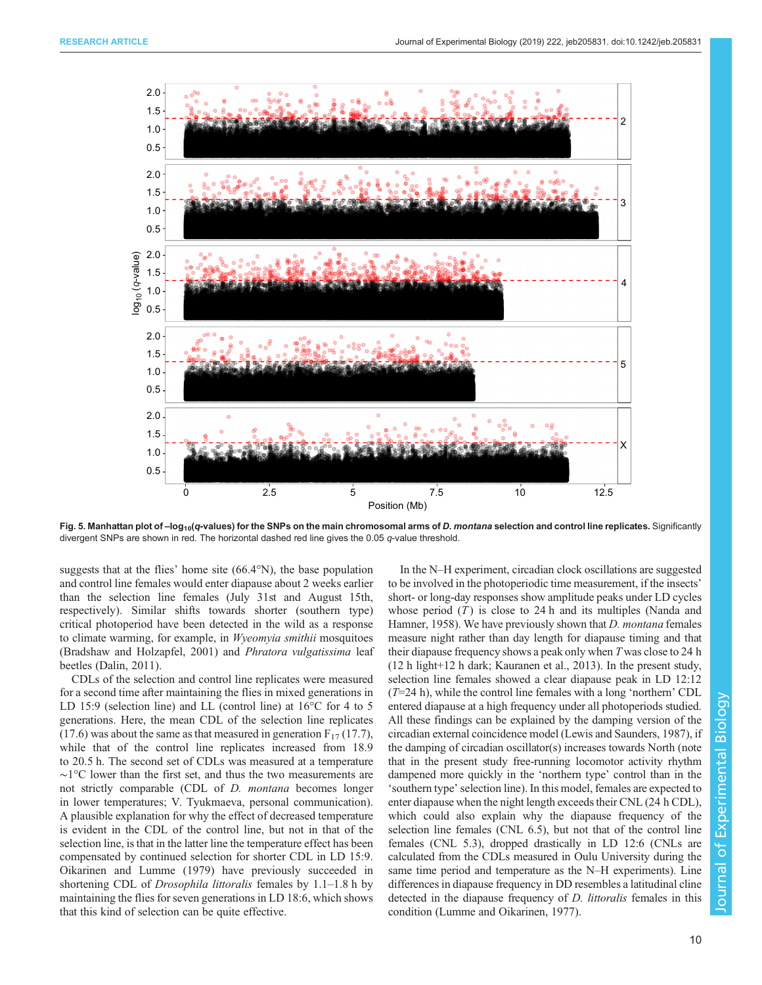<span id="page-9-0"></span>

Fig. 5. Manhattan plot of -log<sub>10</sub>(q-values) for the SNPs on the main chromosomal arms of D. montana selection and control line replicates. Significantly divergent SNPs are shown in red. The horizontal dashed red line gives the 0.05 q-value threshold.

suggests that at the flies' home site (66.4°N), the base population and control line females would enter diapause about 2 weeks earlier than the selection line females (July 31st and August 15th, respectively). Similar shifts towards shorter (southern type) critical photoperiod have been detected in the wild as a response to climate warming, for example, in Wyeomyia smithii mosquitoes [\(Bradshaw and Holzapfel, 2001](#page-11-0)) and Phratora vulgatissima leaf beetles ([Dalin, 2011\)](#page-11-0).

CDLs of the selection and control line replicates were measured for a second time after maintaining the flies in mixed generations in LD 15:9 (selection line) and LL (control line) at 16°C for 4 to 5 generations. Here, the mean CDL of the selection line replicates  $(17.6)$  was about the same as that measured in generation  $F_{17}(17.7)$ , while that of the control line replicates increased from 18.9 to 20.5 h. The second set of CDLs was measured at a temperature ∼1°C lower than the first set, and thus the two measurements are not strictly comparable (CDL of D. montana becomes longer in lower temperatures; V. Tyukmaeva, personal communication). A plausible explanation for why the effect of decreased temperature is evident in the CDL of the control line, but not in that of the selection line, is that in the latter line the temperature effect has been compensated by continued selection for shorter CDL in LD 15:9. [Oikarinen and Lumme \(1979\)](#page-12-0) have previously succeeded in shortening CDL of *Drosophila littoralis* females by 1.1–1.8 h by maintaining the flies for seven generations in LD 18:6, which shows that this kind of selection can be quite effective.

In the N–H experiment, circadian clock oscillations are suggested to be involved in the photoperiodic time measurement, if the insects' short- or long-day responses show amplitude peaks under LD cycles whose period  $(T)$  is close to 24 h and its multiples ([Nanda and](#page-12-0) [Hamner, 1958](#page-12-0)). We have previously shown that *D. montana* females measure night rather than day length for diapause timing and that their diapause frequency shows a peak only when T was close to 24 h (12 h light+12 h dark; [Kauranen et al., 2013](#page-12-0)). In the present study, selection line females showed a clear diapause peak in LD 12:12  $(T=24 h)$ , while the control line females with a long 'northern' CDL entered diapause at a high frequency under all photoperiods studied. All these findings can be explained by the damping version of the circadian external coincidence model ([Lewis and Saunders, 1987](#page-12-0)), if the damping of circadian oscillator(s) increases towards North (note that in the present study free-running locomotor activity rhythm dampened more quickly in the 'northern type' control than in the 'southern type'selection line). In this model, females are expected to enter diapause when the night length exceeds their CNL (24 h CDL), which could also explain why the diapause frequency of the selection line females (CNL 6.5), but not that of the control line females (CNL 5.3), dropped drastically in LD 12:6 (CNLs are calculated from the CDLs measured in Oulu University during the same time period and temperature as the N–H experiments). Line differences in diapause frequency in DD resembles a latitudinal cline detected in the diapause frequency of *D. littoralis* females in this condition ([Lumme and Oikarinen, 1977\)](#page-12-0).

Journal of Experimental Biology

 $\overline{\circ}$ 

**Durnal** 

Experimental

Biology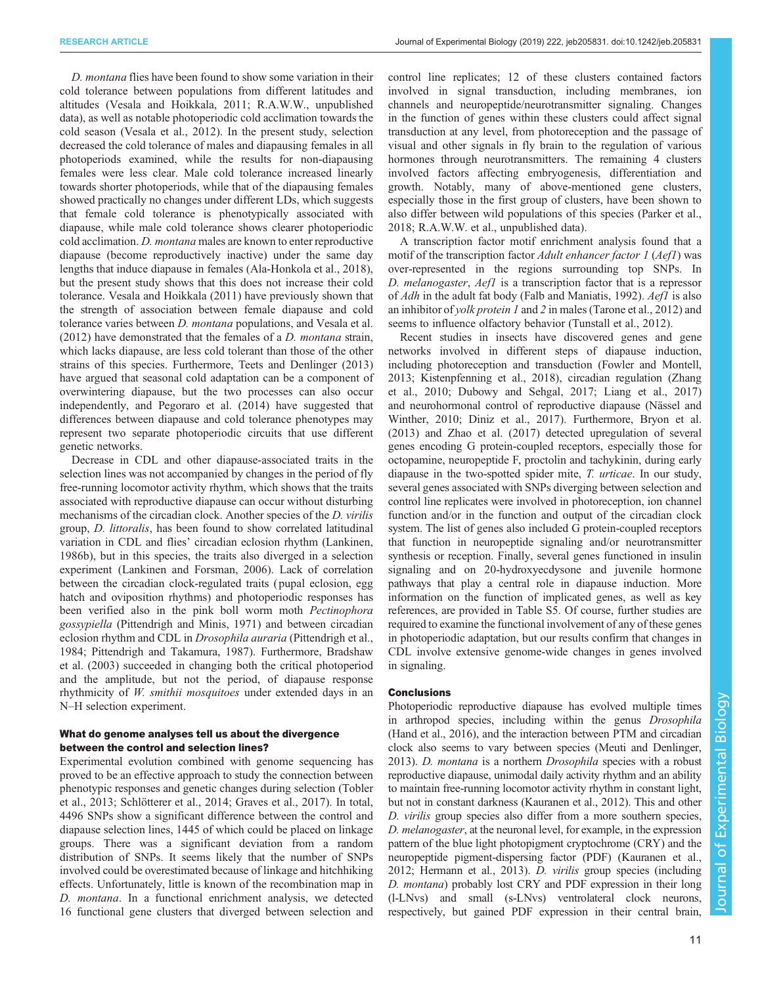D. montana flies have been found to show some variation in their cold tolerance between populations from different latitudes and altitudes [\(Vesala and Hoikkala, 2011;](#page-13-0) R.A.W.W., unpublished data), as well as notable photoperiodic cold acclimation towards the cold season ([Vesala et al., 2012\)](#page-13-0). In the present study, selection decreased the cold tolerance of males and diapausing females in all photoperiods examined, while the results for non-diapausing females were less clear. Male cold tolerance increased linearly towards shorter photoperiods, while that of the diapausing females showed practically no changes under different LDs, which suggests that female cold tolerance is phenotypically associated with diapause, while male cold tolerance shows clearer photoperiodic cold acclimation. D. montana males are known to enter reproductive diapause (become reproductively inactive) under the same day lengths that induce diapause in females [\(Ala-Honkola et al., 2018\)](#page-11-0), but the present study shows that this does not increase their cold tolerance. [Vesala and Hoikkala \(2011\)](#page-13-0) have previously shown that the strength of association between female diapause and cold tolerance varies between D. montana populations, and [Vesala et al.](#page-13-0) [\(2012\)](#page-13-0) have demonstrated that the females of a D. montana strain, which lacks diapause, are less cold tolerant than those of the other strains of this species. Furthermore, [Teets and Denlinger \(2013\)](#page-13-0) have argued that seasonal cold adaptation can be a component of overwintering diapause, but the two processes can also occur independently, and [Pegoraro et al. \(2014\)](#page-13-0) have suggested that differences between diapause and cold tolerance phenotypes may represent two separate photoperiodic circuits that use different genetic networks.

Decrease in CDL and other diapause-associated traits in the selection lines was not accompanied by changes in the period of fly free-running locomotor activity rhythm, which shows that the traits associated with reproductive diapause can occur without disturbing mechanisms of the circadian clock. Another species of the D. virilis group, D. littoralis, has been found to show correlated latitudinal variation in CDL and flies' circadian eclosion rhythm ([Lankinen,](#page-12-0) [1986b\)](#page-12-0), but in this species, the traits also diverged in a selection experiment [\(Lankinen and Forsman, 2006\)](#page-12-0). Lack of correlation between the circadian clock-regulated traits ( pupal eclosion, egg hatch and oviposition rhythms) and photoperiodic responses has been verified also in the pink boll worm moth Pectinophora gossypiella ([Pittendrigh and Minis, 1971\)](#page-13-0) and between circadian eclosion rhythm and CDL in Drosophila auraria ([Pittendrigh et al.,](#page-13-0) [1984](#page-13-0); [Pittendrigh and Takamura, 1987](#page-13-0)). Furthermore, [Bradshaw](#page-11-0) [et al. \(2003\)](#page-11-0) succeeded in changing both the critical photoperiod and the amplitude, but not the period, of diapause response rhythmicity of W. smithii mosquitoes under extended days in an N–H selection experiment.

# What do genome analyses tell us about the divergence between the control and selection lines?

Experimental evolution combined with genome sequencing has proved to be an effective approach to study the connection between phenotypic responses and genetic changes during selection [\(Tobler](#page-13-0) [et al., 2013](#page-13-0); [Schlötterer et al., 2014;](#page-13-0) [Graves et al., 2017\)](#page-12-0). In total, 4496 SNPs show a significant difference between the control and diapause selection lines, 1445 of which could be placed on linkage groups. There was a significant deviation from a random distribution of SNPs. It seems likely that the number of SNPs involved could be overestimated because of linkage and hitchhiking effects. Unfortunately, little is known of the recombination map in D. montana. In a functional enrichment analysis, we detected 16 functional gene clusters that diverged between selection and

control line replicates; 12 of these clusters contained factors involved in signal transduction, including membranes, ion channels and neuropeptide/neurotransmitter signaling. Changes in the function of genes within these clusters could affect signal transduction at any level, from photoreception and the passage of visual and other signals in fly brain to the regulation of various hormones through neurotransmitters. The remaining 4 clusters involved factors affecting embryogenesis, differentiation and growth. Notably, many of above-mentioned gene clusters, especially those in the first group of clusters, have been shown to also differ between wild populations of this species ([Parker et al.,](#page-12-0) [2018;](#page-12-0) R.A.W.W. et al., unpublished data).

A transcription factor motif enrichment analysis found that a motif of the transcription factor Adult enhancer factor 1 (Aef1) was over-represented in the regions surrounding top SNPs. In D. melanogaster, Aefl is a transcription factor that is a repressor of Adh in the adult fat body [\(Falb and Maniatis, 1992\)](#page-12-0). Aef1 is also an inhibitor of yolk protein 1 and 2 in males ([Tarone et al., 2012](#page-13-0)) and seems to influence olfactory behavior [\(Tunstall et al., 2012\)](#page-13-0).

Recent studies in insects have discovered genes and gene networks involved in different steps of diapause induction, including photoreception and transduction ([Fowler and Montell,](#page-12-0) [2013; Kistenpfenning et al., 2018](#page-12-0)), circadian regulation [\(Zhang](#page-13-0) [et al., 2010](#page-13-0); [Dubowy and Sehgal, 2017](#page-12-0); [Liang et al., 2017\)](#page-12-0) and neurohormonal control of reproductive diapause ([Nässel and](#page-12-0) [Winther, 2010; Diniz et al., 2017](#page-12-0)). Furthermore, [Bryon et al.](#page-11-0) [\(2013\)](#page-11-0) and [Zhao et al. \(2017\)](#page-13-0) detected upregulation of several genes encoding G protein-coupled receptors, especially those for octopamine, neuropeptide F, proctolin and tachykinin, during early diapause in the two-spotted spider mite, T. urticae. In our study, several genes associated with SNPs diverging between selection and control line replicates were involved in photoreception, ion channel function and/or in the function and output of the circadian clock system. The list of genes also included G protein-coupled receptors that function in neuropeptide signaling and/or neurotransmitter synthesis or reception. Finally, several genes functioned in insulin signaling and on 20-hydroxyecdysone and juvenile hormone pathways that play a central role in diapause induction. More information on the function of implicated genes, as well as key references, are provided in Table S5. Of course, further studies are required to examine the functional involvement of any of these genes in photoperiodic adaptation, but our results confirm that changes in CDL involve extensive genome-wide changes in genes involved in signaling.

#### **Conclusions**

Photoperiodic reproductive diapause has evolved multiple times in arthropod species, including within the genus Drosophila [\(Hand et al., 2016\)](#page-12-0), and the interaction between PTM and circadian clock also seems to vary between species [\(Meuti and Denlinger,](#page-12-0) [2013\)](#page-12-0). D. montana is a northern Drosophila species with a robust reproductive diapause, unimodal daily activity rhythm and an ability to maintain free-running locomotor activity rhythm in constant light, but not in constant darkness ([Kauranen et al., 2012\)](#page-12-0). This and other D. virilis group species also differ from a more southern species, D. melanogaster, at the neuronal level, for example, in the expression pattern of the blue light photopigment cryptochrome (CRY) and the neuropeptide pigment-dispersing factor (PDF) ([Kauranen et al.,](#page-12-0) [2012; Hermann et al., 2013](#page-12-0)). D. virilis group species (including D. montana) probably lost CRY and PDF expression in their long (l-LNvs) and small (s-LNvs) ventrolateral clock neurons, respectively, but gained PDF expression in their central brain,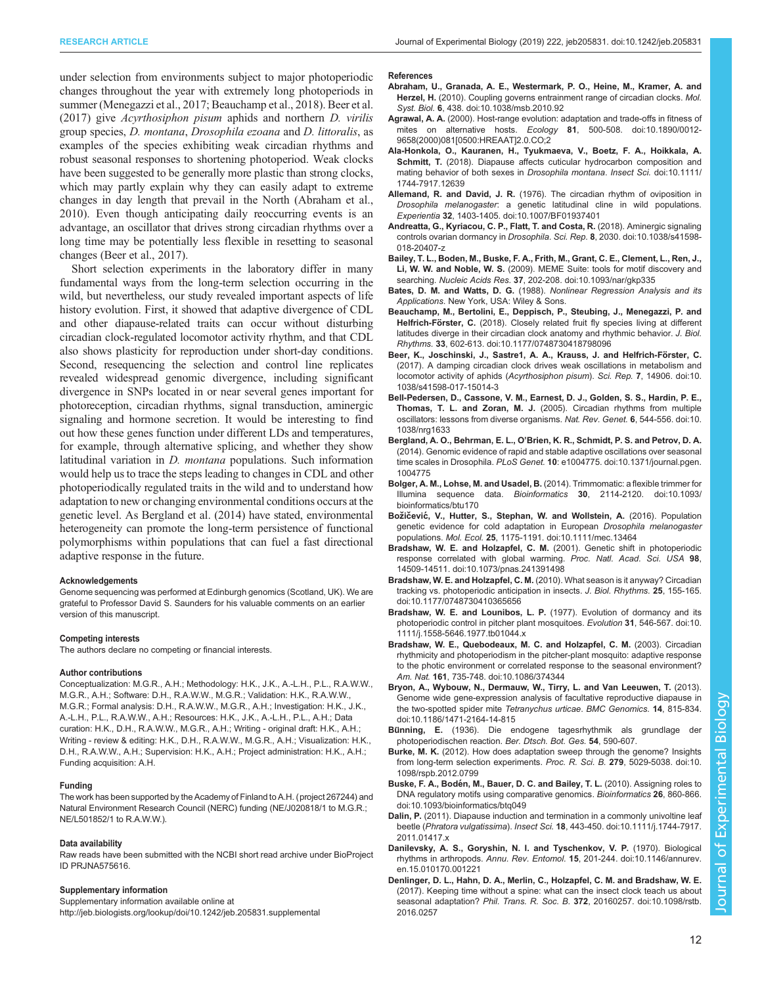<span id="page-11-0"></span>under selection from environments subject to major photoperiodic changes throughout the year with extremely long photoperiods in summer ([Menegazzi et al., 2017;](#page-12-0) Beauchamp et al., 2018). Beer et al. (2017) give Acyrthosiphon pisum aphids and northern D. virilis group species, D. montana, Drosophila ezoana and D. littoralis, as examples of the species exhibiting weak circadian rhythms and robust seasonal responses to shortening photoperiod. Weak clocks have been suggested to be generally more plastic than strong clocks, which may partly explain why they can easily adapt to extreme changes in day length that prevail in the North (Abraham et al., 2010). Even though anticipating daily reoccurring events is an advantage, an oscillator that drives strong circadian rhythms over a long time may be potentially less flexible in resetting to seasonal changes (Beer et al., 2017).

Short selection experiments in the laboratory differ in many fundamental ways from the long-term selection occurring in the wild, but nevertheless, our study revealed important aspects of life history evolution. First, it showed that adaptive divergence of CDL and other diapause-related traits can occur without disturbing circadian clock-regulated locomotor activity rhythm, and that CDL also shows plasticity for reproduction under short-day conditions. Second, resequencing the selection and control line replicates revealed widespread genomic divergence, including significant divergence in SNPs located in or near several genes important for photoreception, circadian rhythms, signal transduction, aminergic signaling and hormone secretion. It would be interesting to find out how these genes function under different LDs and temperatures, for example, through alternative splicing, and whether they show latitudinal variation in D. montana populations. Such information would help us to trace the steps leading to changes in CDL and other photoperiodically regulated traits in the wild and to understand how adaptation to new or changing environmental conditions occurs at the genetic level. As Bergland et al. (2014) have stated, environmental heterogeneity can promote the long-term persistence of functional polymorphisms within populations that can fuel a fast directional adaptive response in the future.

#### Acknowledgements

Genome sequencing was performed at Edinburgh genomics (Scotland, UK). We are grateful to Professor David S. Saunders for his valuable comments on an earlier version of this manuscript.

#### Competing interests

The authors declare no competing or financial interests.

#### Author contributions

Conceptualization: M.G.R., A.H.; Methodology: H.K., J.K., A.-L.H., P.L., R.A.W.W., M.G.R., A.H.; Software: D.H., R.A.W.W., M.G.R.; Validation: H.K., R.A.W.W., M.G.R.; Formal analysis: D.H., R.A.W.W., M.G.R., A.H.; Investigation: H.K., J.K., A.-L.H., P.L., R.A.W.W., A.H.; Resources: H.K., J.K., A.-L.H., P.L., A.H.; Data curation: H.K., D.H., R.A.W.W., M.G.R., A.H.; Writing - original draft: H.K., A.H.; Writing - review & editing: H.K., D.H., R.A.W.W., M.G.R., A.H.; Visualization: H.K., D.H., R.A.W.W., A.H.; Supervision: H.K., A.H.; Project administration: H.K., A.H.; Funding acquisition: A.H.

#### Funding

The work has been supported by the Academy of Finland to A.H. (project 267244) and Natural Environment Research Council (NERC) funding (NE/J020818/1 to M.G.R.; NE/L501852/1 to R.A.W.W.).

#### Data availability

Raw reads have been submitted with the NCBI short read archive under BioProject ID [PRJNA575616](https://www.ncbi.nlm.nih.gov/bioproject/PRJNA575616).

#### Supplementary information

Supplementary information available online at <http://jeb.biologists.org/lookup/doi/10.1242/jeb.205831.supplemental>

#### References

- [Abraham, U., Granada, A. E., Westermark, P. O., Heine, M., Kramer, A. and](https://doi.org/10.1038/msb.2010.92) Herzel, H. [\(2010\). Coupling governs entrainment range of circadian clocks.](https://doi.org/10.1038/msb.2010.92) Mol. Syst. Biol. 6[, 438. doi:10.1038/msb.2010.92](https://doi.org/10.1038/msb.2010.92)
- Agrawal, A. A. [\(2000\). Host-range evolution: adaptation and trade-offs in fitness of](https://doi.org/10.1890/0012-9658(2000)081[0500:HREAAT]2.0.CO;2) mites on alternative hosts. Ecology 81[, 500-508. doi:10.1890/0012-](https://doi.org/10.1890/0012-9658(2000)081[0500:HREAAT]2.0.CO;2) [9658\(2000\)081\[0500:HREAAT\]2.0.CO;2](https://doi.org/10.1890/0012-9658(2000)081[0500:HREAAT]2.0.CO;2)
- [Ala-Honkola, O., Kauranen, H., Tyukmaeva, V., Boetz, F. A., Hoikkala, A.](https://doi.org/10.1111/1744-7917.12639) Schmitt, T. [\(2018\). Diapause affects cuticular hydrocarbon composition and](https://doi.org/10.1111/1744-7917.12639) [mating behavior of both sexes in](https://doi.org/10.1111/1744-7917.12639) Drosophila montana. Insect Sci. doi:10.1111/ [1744-7917.12639](https://doi.org/10.1111/1744-7917.12639)
- Allemand, R. and David, J. R. [\(1976\). The circadian rhythm of oviposition in](https://doi.org/10.1007/BF01937401) Drosophila melanogaster[: a genetic latitudinal cline in wild populations.](https://doi.org/10.1007/BF01937401) Experientia 32[, 1403-1405. doi:10.1007/BF01937401](https://doi.org/10.1007/BF01937401)
- [Andreatta, G., Kyriacou, C. P., Flatt, T. and Costa, R.](https://doi.org/10.1038/s41598-018-20407-z) (2018). Aminergic signaling [controls ovarian dormancy in](https://doi.org/10.1038/s41598-018-20407-z) Drosophila. Sci. Rep. 8, 2030. doi:10.1038/s41598- [018-20407-z](https://doi.org/10.1038/s41598-018-20407-z)
- [Bailey, T. L., Boden, M., Buske, F. A., Frith, M., Grant, C. E., Clement, L., Ren, J.,](https://doi.org/10.1093/nar/gkp335) Li, W. W. and Noble, W. S. [\(2009\). MEME Suite: tools for motif discovery and](https://doi.org/10.1093/nar/gkp335) searching. Nucleic Acids Res. 37[, 202-208. doi:10.1093/nar/gkp335](https://doi.org/10.1093/nar/gkp335)
- Bates, D. M. and Watts, D. G. (1988). Nonlinear Regression Analysis and its Applications. New York, USA: Wiley & Sons.
- [Beauchamp, M., Bertolini, E., Deppisch, P., Steubing, J., Menegazzi, P. and](https://doi.org/10.1177/0748730418798096) Helfrich-Förster, C. [\(2018\). Closely related fruit fly species living at different](https://doi.org/10.1177/0748730418798096) [latitudes diverge in their circadian clock anatomy and rhythmic behavior.](https://doi.org/10.1177/0748730418798096) J. Biol. Rhythms. 33[, 602-613. doi:10.1177/0748730418798096](https://doi.org/10.1177/0748730418798096)
- [Beer, K., Joschinski, J., Sastre1, A. A., Krauss, J. and Helfrich-Fo](https://doi.org/10.1038/s41598-017-15014-3)̈rster, C. [\(2017\). A damping circadian clock drives weak oscillations in metabolism and](https://doi.org/10.1038/s41598-017-15014-3) [locomotor activity of aphids \(](https://doi.org/10.1038/s41598-017-15014-3)Acyrthosiphon pisum). Sci. Rep. 7, 14906. doi:10. [1038/s41598-017-15014-3](https://doi.org/10.1038/s41598-017-15014-3)
- [Bell-Pedersen, D., Cassone, V. M., Earnest, D. J., Golden, S. S., Hardin, P. E.,](https://doi.org/10.1038/nrg1633) Thomas, T. L. and Zoran, M. J. [\(2005\). Circadian rhythms from multiple](https://doi.org/10.1038/nrg1633) [oscillators: lessons from diverse organisms.](https://doi.org/10.1038/nrg1633) Nat. Rev. Genet. 6, 544-556. doi:10. [1038/nrg1633](https://doi.org/10.1038/nrg1633)
- Bergland, A. O., Behrman, E. L., O'[Brien, K. R., Schmidt, P. S. and Petrov, D. A.](https://doi.org/10.1371/journal.pgen.1004775) [\(2014\). Genomic evidence of rapid and stable adaptive oscillations over seasonal](https://doi.org/10.1371/journal.pgen.1004775) time scales in Drosophila. PLoS Genet. 10[: e1004775. doi:10.1371/journal.pgen.](https://doi.org/10.1371/journal.pgen.1004775) [1004775](https://doi.org/10.1371/journal.pgen.1004775)
- Bolger, A. M., Lohse, M. and Usadel, B. [\(2014\). Trimmomatic: a flexible trimmer for](https://doi.org/10.1093/bioinformatics/btu170) Illumina sequence data. Bioinformatics 30[, 2114-2120. doi:10.1093/](https://doi.org/10.1093/bioinformatics/btu170) [bioinformatics/btu170](https://doi.org/10.1093/bioinformatics/btu170)
- Božičević[, V., Hutter, S., Stephan, W. and Wollstein, A.](https://doi.org/10.1111/mec.13464) (2016). Population [genetic evidence for cold adaptation in European](https://doi.org/10.1111/mec.13464) Drosophila melanogaster populations. Mol. Ecol. 25[, 1175-1191. doi:10.1111/mec.13464](https://doi.org/10.1111/mec.13464)
- [Bradshaw, W. E. and Holzapfel, C. M.](https://doi.org/10.1073/pnas.241391498) (2001). Genetic shift in photoperiodic [response correlated with global warming.](https://doi.org/10.1073/pnas.241391498) Proc. Natl. Acad. Sci. USA 98, [14509-14511. doi:10.1073/pnas.241391498](https://doi.org/10.1073/pnas.241391498)
- Bradshaw, W. E. and Holzapfel, C. M. [\(2010\). What season is it anyway? Circadian](https://doi.org/10.1177/0748730410365656) [tracking vs. photoperiodic anticipation in insects.](https://doi.org/10.1177/0748730410365656) J. Biol. Rhythms. 25, 155-165. [doi:10.1177/0748730410365656](https://doi.org/10.1177/0748730410365656)
- [Bradshaw, W. E. and Lounibos, L. P.](https://doi.org/10.1111/j.1558-5646.1977.tb01044.x) (1977). Evolution of dormancy and its [photoperiodic control in pitcher plant mosquitoes.](https://doi.org/10.1111/j.1558-5646.1977.tb01044.x) Evolution 31, 546-567. doi:10. [1111/j.1558-5646.1977.tb01044.x](https://doi.org/10.1111/j.1558-5646.1977.tb01044.x)
- [Bradshaw, W. E., Quebodeaux, M. C. and Holzapfel, C. M.](https://doi.org/10.1086/374344) (2003). Circadian [rhythmicity and photoperiodism in the pitcher-plant mosquito: adaptive response](https://doi.org/10.1086/374344) [to the photic environment or correlated response to the seasonal environment?](https://doi.org/10.1086/374344) Am. Nat. 161[, 735-748. doi:10.1086/374344](https://doi.org/10.1086/374344)
- [Bryon, A., Wybouw, N., Dermauw, W., Tirry, L. and Van Leeuwen, T.](https://doi.org/10.1186/1471-2164-14-815) (2013). [Genome wide gene-expression analysis of facultative reproductive diapause in](https://doi.org/10.1186/1471-2164-14-815) [the two-spotted spider mite](https://doi.org/10.1186/1471-2164-14-815) Tetranychus urticae. BMC Genomics. 14, 815-834. [doi:10.1186/1471-2164-14-815](https://doi.org/10.1186/1471-2164-14-815)
- Bünning, E. (1936). Die endogene tagesrhythmik als grundlage der photoperiodischen reaction. Ber. Dtsch. Bot. Ges. 54, 590-607.
- Burke, M. K. [\(2012\). How does adaptation sweep through the genome? Insights](https://doi.org/10.1098/rspb.2012.0799) [from long-term selection experiments.](https://doi.org/10.1098/rspb.2012.0799) Proc. R. Sci. B. 279, 5029-5038. doi:10. [1098/rspb.2012.0799](https://doi.org/10.1098/rspb.2012.0799)
- Buske, F. A., Bodé[n, M., Bauer, D. C. and Bailey, T. L.](https://doi.org/10.1093/bioinformatics/btq049) (2010). Assigning roles to [DNA regulatory motifs using comparative genomics.](https://doi.org/10.1093/bioinformatics/btq049) Bioinformatics 26, 860-866. [doi:10.1093/bioinformatics/btq049](https://doi.org/10.1093/bioinformatics/btq049)
- Dalin, P. [\(2011\). Diapause induction and termination in a commonly univoltine leaf](https://doi.org/10.1111/j.1744-7917.2011.01417.x) beetle (Phratora vulgatissima). Insect Sci. 18[, 443-450. doi:10.1111/j.1744-7917.](https://doi.org/10.1111/j.1744-7917.2011.01417.x) [2011.01417.x](https://doi.org/10.1111/j.1744-7917.2011.01417.x)
- [Danilevsky, A. S., Goryshin, N. I. and Tyschenkov, V. P.](https://doi.org/10.1146/annurev.en.15.010170.001221) (1970). Biological rhythms in arthropods. Annu. Rev. Entomol. 15[, 201-244. doi:10.1146/annurev.](https://doi.org/10.1146/annurev.en.15.010170.001221) [en.15.010170.001221](https://doi.org/10.1146/annurev.en.15.010170.001221)
- [Denlinger, D. L., Hahn, D. A., Merlin, C., Holzapfel, C. M. and Bradshaw, W. E.](https://doi.org/10.1098/rstb.2016.0257) [\(2017\). Keeping time without a spine: what can the insect clock teach us about](https://doi.org/10.1098/rstb.2016.0257) seasonal adaptation? Phil. Trans. R. Soc. B. 372[, 20160257. doi:10.1098/rstb.](https://doi.org/10.1098/rstb.2016.0257) [2016.0257](https://doi.org/10.1098/rstb.2016.0257)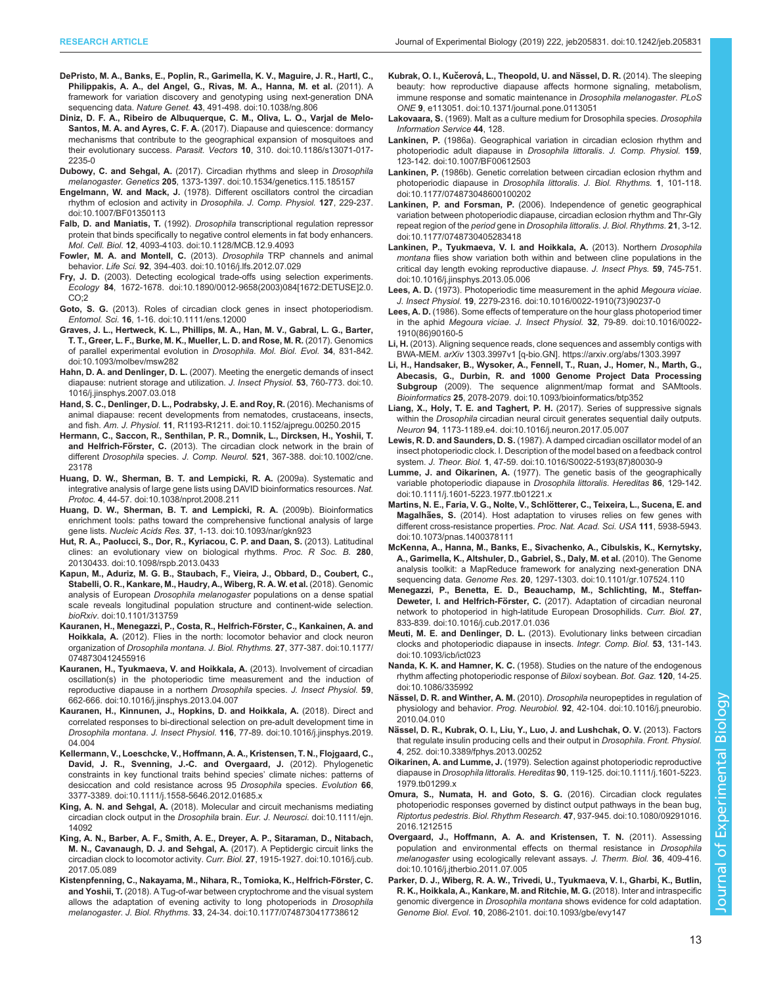- <span id="page-12-0"></span>[DePristo, M. A., Banks, E., Poplin, R., Garimella, K. V., Maguire, J. R., Hartl, C.,](https://doi.org/10.1038/ng.806) [Philippakis, A. A., del Angel, G., Rivas, M. A., Hanna, M. et al.](https://doi.org/10.1038/ng.806) (2011). A [framework for variation discovery and genotyping using next-generation DNA](https://doi.org/10.1038/ng.806) sequencing data. Nature Genet. 43[, 491-498. doi:10.1038/ng.806](https://doi.org/10.1038/ng.806)
- [Diniz, D. F. A., Ribeiro de Albuquerque, C. M., Oliva, L. O., Varjal de Melo-](https://doi.org/10.1186/s13071-017-2235-0)Santos, M. A. and Ayres, C. F. A. [\(2017\). Diapause and quiescence: dormancy](https://doi.org/10.1186/s13071-017-2235-0) [mechanisms that contribute to the geographical expansion of mosquitoes and](https://doi.org/10.1186/s13071-017-2235-0) their evolutionary success. Parasit. Vectors 10[, 310. doi:10.1186/s13071-017-](https://doi.org/10.1186/s13071-017-2235-0) [2235-0](https://doi.org/10.1186/s13071-017-2235-0)
- Dubowy, C. and Sehgal, A. [\(2017\). Circadian rhythms and sleep in](https://doi.org/10.1534/genetics.115.185157) Drosophila melanogaster. Genetics 205[, 1373-1397. doi:10.1534/genetics.115.185157](https://doi.org/10.1534/genetics.115.185157)
- Engelmann, W. and Mack, J. [\(1978\). Different oscillators control the circadian](https://doi.org/10.1007/BF01350113) [rhythm of eclosion and activity in](https://doi.org/10.1007/BF01350113) Drosophila. J. Comp. Physiol. 127, 229-237. [doi:10.1007/BF01350113](https://doi.org/10.1007/BF01350113)
- Falb, D. and Maniatis, T. (1992). Drosophila [transcriptional regulation repressor](https://doi.org/10.1128/MCB.12.9.4093) [protein that binds specifically to negative control elements in fat body enhancers.](https://doi.org/10.1128/MCB.12.9.4093) Mol. Cell. Biol. 12[, 4093-4103. doi:10.1128/MCB.12.9.4093](https://doi.org/10.1128/MCB.12.9.4093)
- [Fowler, M. A. and Montell, C.](https://doi.org/10.1016/j.lfs.2012.07.029) (2013). Drosophila TRP channels and animal behavior. Life Sci. 92[, 394-403. doi:10.1016/j.lfs.2012.07.029](https://doi.org/10.1016/j.lfs.2012.07.029)
- Fry, J. D. [\(2003\). Detecting ecological trade-offs using selection experiments.](https://doi.org/10.1890/0012-9658(2003)084[1672:DETUSE]2.0.CO;2) Ecology 84[, 1672-1678. doi:10.1890/0012-9658\(2003\)084\[1672:DETUSE\]2.0.](https://doi.org/10.1890/0012-9658(2003)084[1672:DETUSE]2.0.CO;2) [CO;2](https://doi.org/10.1890/0012-9658(2003)084[1672:DETUSE]2.0.CO;2)
- Goto, S. G. [\(2013\). Roles of circadian clock genes in insect photoperiodism.](https://doi.org/10.1111/ens.12000) Entomol. Sci. 16[, 1-16. doi:10.1111/ens.12000](https://doi.org/10.1111/ens.12000)
- [Graves, J. L., Hertweck, K. L., Phillips, M. A., Han, M. V., Gabral, L. G., Barter,](https://doi.org/10.1093/molbev/msw282) [T. T., Greer, L. F., Burke, M. K., Mueller, L. D. and Rose, M. R.](https://doi.org/10.1093/molbev/msw282) (2017). Genomics [of parallel experimental evolution in](https://doi.org/10.1093/molbev/msw282) Drosophila. Mol. Biol. Evol. 34, 831-842. [doi:10.1093/molbev/msw282](https://doi.org/10.1093/molbev/msw282)
- Hahn, D. A. and Denlinger, D. L. [\(2007\). Meeting the energetic demands of insect](https://doi.org/10.1016/j.jinsphys.2007.03.018) [diapause: nutrient storage and utilization.](https://doi.org/10.1016/j.jinsphys.2007.03.018) J. Insect Physiol. 53, 760-773. doi:10. [1016/j.jinsphys.2007.03.018](https://doi.org/10.1016/j.jinsphys.2007.03.018)
- [Hand, S. C., Denlinger, D. L., Podrabsky, J. E. and Roy, R.](https://doi.org/10.1152/ajpregu.00250.2015) (2016). Mechanisms of [animal diapause: recent developments from nematodes, crustaceans, insects,](https://doi.org/10.1152/ajpregu.00250.2015) and fish. Am. J. Physiol. 11[, R1193-R1211. doi:10.1152/ajpregu.00250.2015](https://doi.org/10.1152/ajpregu.00250.2015)
- [Hermann, C., Saccon, R., Senthilan, P. R., Domnik, L., Dircksen, H., Yoshii, T.](https://doi.org/10.1002/cne.23178) and Helfrich-Förster, C. [\(2013\). The circadian clock network in the brain of](https://doi.org/10.1002/cne.23178) different Drosophila species. J. Comp. Neurol. 521[, 367-388. doi:10.1002/cne.](https://doi.org/10.1002/cne.23178) [23178](https://doi.org/10.1002/cne.23178)
- [Huang, D. W., Sherman, B. T. and Lempicki, R. A.](https://doi.org/10.1038/nprot.2008.211) (2009a). Systematic and [integrative analysis of large gene lists using DAVID bioinformatics resources.](https://doi.org/10.1038/nprot.2008.211) Nat. Protoc. 4[, 44-57. doi:10.1038/nprot.2008.211](https://doi.org/10.1038/nprot.2008.211)
- [Huang, D. W., Sherman, B. T. and Lempicki, R. A.](https://doi.org/10.1093/nar/gkn923) (2009b). Bioinformatics [enrichment tools: paths toward the comprehensive functional analysis of large](https://doi.org/10.1093/nar/gkn923) gene lists. Nucleic Acids Res. 37[, 1-13. doi:10.1093/nar/gkn923](https://doi.org/10.1093/nar/gkn923)
- [Hut, R. A., Paolucci, S., Dor, R., Kyriacou, C. P. and Daan, S.](https://doi.org/10.1098/rspb.2013.0433) (2013). Latitudinal [clines: an evolutionary view on biological rhythms.](https://doi.org/10.1098/rspb.2013.0433) Proc. R Soc. B. 280, [20130433. doi:10.1098/rspb.2013.0433](https://doi.org/10.1098/rspb.2013.0433)
- [Kapun, M., Aduriz, M. G. B., Staubach, F., Vieira, J., Obbard, D., Coubert, C.,](https://doi.org/10.1101/313759) [Stabelli, O. R., Kankare, M., Haudry, A., Wiberg, R. A. W. et al.](https://doi.org/10.1101/313759) (2018). Genomic analysis of European Drosophila melanogaster [populations on a dense spatial](https://doi.org/10.1101/313759) [scale reveals longitudinal population structure and continent-wide selection.](https://doi.org/10.1101/313759) bioRxiv[. doi:10.1101/313759](https://doi.org/10.1101/313759)
- Kauranen, H., Menegazzi, P., Costa, R., Helfrich-Förster, C., Kankainen, A. and Hoikkala, A. [\(2012\). Flies in the north: locomotor behavior and clock neuron](https://doi.org/10.1177/0748730412455916) organization of Drosophila montana. J. Biol. Rhythms. 27[, 377-387. doi:10.1177/](https://doi.org/10.1177/0748730412455916) [0748730412455916](https://doi.org/10.1177/0748730412455916)
- [Kauranen, H., Tyukmaeva, V. and Hoikkala, A.](https://doi.org/10.1016/j.jinsphys.2013.04.007) (2013). Involvement of circadian [oscillation\(s\) in the photoperiodic time measurement and the induction of](https://doi.org/10.1016/j.jinsphys.2013.04.007) [reproductive diapause in a northern](https://doi.org/10.1016/j.jinsphys.2013.04.007) Drosophila species. J. Insect Physiol. 59. [662-666. doi:10.1016/j.jinsphys.2013.04.007](https://doi.org/10.1016/j.jinsphys.2013.04.007)
- [Kauranen, H., Kinnunen, J., Hopkins, D. and Hoikkala, A.](https://doi.org/10.1016/j.jinsphys.2019.04.004) (2018). Direct and [correlated responses to bi-directional selection on pre-adult development time in](https://doi.org/10.1016/j.jinsphys.2019.04.004) Drosophila montana. J. Insect Physiol. 116[, 77-89. doi:10.1016/j.jinsphys.2019.](https://doi.org/10.1016/j.jinsphys.2019.04.004) [04.004](https://doi.org/10.1016/j.jinsphys.2019.04.004)
- [Kellermann, V., Loeschcke, V., Hoffmann, A. A., Kristensen, T. N., Flojgaard, C.,](https://doi.org/10.1111/j.1558-5646.2012.01685.x) [David, J. R., Svenning, J.-C. and Overgaard, J.](https://doi.org/10.1111/j.1558-5646.2012.01685.x) (2012). Phylogenetic [constraints in key functional traits behind species](https://doi.org/10.1111/j.1558-5646.2012.01685.x)' climate niches: patterns of [desiccation and cold resistance across 95](https://doi.org/10.1111/j.1558-5646.2012.01685.x) Drosophila species. Evolution 66, [3377-3389. doi:10.1111/j.1558-5646.2012.01685.x](https://doi.org/10.1111/j.1558-5646.2012.01685.x)
- King, A. N. and Sehgal, A. [\(2018\). Molecular and circuit mechanisms mediating](https://doi.org/10.1111/ejn.14092) [circadian clock output in the](https://doi.org/10.1111/ejn.14092) Drosophila brain. Eur. J. Neurosci. doi:10.1111/ejn. [14092](https://doi.org/10.1111/ejn.14092)
- [King, A. N., Barber, A. F., Smith, A. E., Dreyer, A. P., Sitaraman, D., Nitabach,](https://doi.org/10.1016/j.cub.2017.05.089) [M. N., Cavanaugh, D. J. and Sehgal, A.](https://doi.org/10.1016/j.cub.2017.05.089) (2017). A Peptidergic circuit links the [circadian clock to locomotor activity.](https://doi.org/10.1016/j.cub.2017.05.089) Curr. Biol. 27, 1915-1927. doi:10.1016/j.cub. [2017.05.089](https://doi.org/10.1016/j.cub.2017.05.089)
- Kistenpfenning, C., Nakayama, M., Nihara, R., Tomioka, K., Helfrich-Förster, C. and Yoshii, T. [\(2018\). A Tug-of-war between cryptochrome and the visual system](https://doi.org/10.1177/0748730417738612) [allows the adaptation of evening activity to long photoperiods in](https://doi.org/10.1177/0748730417738612) Drosophila melanogaster. J. Biol. Rhythms. 33[, 24-34. doi:10.1177/0748730417738612](https://doi.org/10.1177/0748730417738612)
- Kubrak, O. I., Kučerová, L., Theopold, U. and Nässel, D. R. (2014). The sleeping [beauty: how reproductive diapause affects hormone signaling, metabolism,](https://doi.org/10.1371/journal.pone.0113051) [immune response and somatic maintenance in](https://doi.org/10.1371/journal.pone.0113051) Drosophila melanogaster. PLoS ONE 9[, e113051. doi:10.1371/journal.pone.0113051](https://doi.org/10.1371/journal.pone.0113051)
- Lakovaara, S. (1969). Malt as a culture medium for Drosophila species. Drosophila Information Service 44, 128.
- Lankinen, P. [\(1986a\). Geographical variation in circadian eclosion rhythm and](https://doi.org/10.1007/BF00612503) [photoperiodic adult diapause in](https://doi.org/10.1007/BF00612503) Drosophila littoralis. J. Comp. Physiol. 159, [123-142. doi:10.1007/BF00612503](https://doi.org/10.1007/BF00612503)
- Lankinen, P. [\(1986b\). Genetic correlation between circadian eclosion rhythm and](https://doi.org/10.1177/074873048600100202) [photoperiodic diapause in](https://doi.org/10.1177/074873048600100202) Drosophila littoralis. J. Biol. Rhythms. 1, 101-118. [doi:10.1177/074873048600100202](https://doi.org/10.1177/074873048600100202)
- Lankinen, P. and Forsman, P. [\(2006\). Independence of genetic geographical](https://doi.org/10.1177/0748730405283418) [variation between photoperiodic diapause, circadian eclosion rhythm and Thr-Gly](https://doi.org/10.1177/0748730405283418) [repeat region of the](https://doi.org/10.1177/0748730405283418) period gene in Drosophila littoralis. J. Biol. Rhythms. 21, 3-12. [doi:10.1177/0748730405283418](https://doi.org/10.1177/0748730405283418)
- [Lankinen, P., Tyukmaeva, V. I. and Hoikkala, A.](https://doi.org/10.1016/j.jinsphys.2013.05.006) (2013). Northern Drosophila montana [flies show variation both within and between cline populations in the](https://doi.org/10.1016/j.jinsphys.2013.05.006) [critical day length evoking reproductive diapause.](https://doi.org/10.1016/j.jinsphys.2013.05.006) J. Insect Phys. 59, 745-751. [doi:10.1016/j.jinsphys.2013.05.006](https://doi.org/10.1016/j.jinsphys.2013.05.006)
- Lees, A. D. [\(1973\). Photoperiodic time measurement in the aphid](https://doi.org/10.1016/0022-1910(73)90237-0) Megoura viciae. J. Insect Physiol. 19[, 2279-2316. doi:10.1016/0022-1910\(73\)90237-0](https://doi.org/10.1016/0022-1910(73)90237-0)
- Lees, A. D. [\(1986\). Some effects of temperature on the hour glass photoperiod timer](https://doi.org/10.1016/0022-1910(86)90160-5) in the aphid Megoura viciae. J. Insect Physiol. 32[, 79-89. doi:10.1016/0022-](https://doi.org/10.1016/0022-1910(86)90160-5) [1910\(86\)90160-5](https://doi.org/10.1016/0022-1910(86)90160-5)
- Li, H. [\(2013\). Aligning sequence reads, clone sequences and assembly contigs with](https://arxiv.org/abs/1303.3997) BWA-MEM. arXiv [1303.3997v1 \[q-bio.GN\]. https://arxiv.org/abs/1303.3997](https://arxiv.org/abs/1303.3997)
- [Li, H., Handsaker, B., Wysoker, A., Fennell, T., Ruan, J., Homer, N., Marth, G.,](https://doi.org/10.1093/bioinformatics/btp352) [Abecasis, G., Durbin, R. and 1000 Genome Project Data Processing](https://doi.org/10.1093/bioinformatics/btp352) Subgroup [\(2009\). The sequence alignment/map format and SAMtools.](https://doi.org/10.1093/bioinformatics/btp352) Bioinformatics 25[, 2078-2079. doi:10.1093/bioinformatics/btp352](https://doi.org/10.1093/bioinformatics/btp352)
- [Liang, X., Holy, T. E. and Taghert, P. H.](https://doi.org/10.1016/j.neuron.2017.05.007) (2017). Series of suppressive signals within the Drosophila [circadian neural circuit generates sequential daily outputs.](https://doi.org/10.1016/j.neuron.2017.05.007) Neuron 94[, 1173-1189.e4. doi:10.1016/j.neuron.2017.05.007](https://doi.org/10.1016/j.neuron.2017.05.007)
- Lewis, R. D. and Saunders, D. S. [\(1987\). A damped circadian oscillator model of an](https://doi.org/10.1016/S0022-5193(87)80030-9) [insect photoperiodic clock. I. Description of the model based on a feedback control](https://doi.org/10.1016/S0022-5193(87)80030-9) system. J. Theor. Biol. 1[, 47-59. doi:10.1016/S0022-5193\(87\)80030-9](https://doi.org/10.1016/S0022-5193(87)80030-9)
- Lumme, J. and Oikarinen, A. [\(1977\). The genetic basis of the geographically](https://doi.org/10.1111/j.1601-5223.1977.tb01221.x) [variable photoperiodic diapause in](https://doi.org/10.1111/j.1601-5223.1977.tb01221.x) Drosophila littoralis. Hereditas 86, 129-142. [doi:10.1111/j.1601-5223.1977.tb01221.x](https://doi.org/10.1111/j.1601-5223.1977.tb01221.x)
- Martins, N. E., Faria, V. G., Nolte, V., Schlötterer, C., Teixeira, L., Sucena, E. and Magalhães, S. [\(2014\). Host adaptation to viruses relies on few genes with](https://doi.org/10.1073/pnas.1400378111) [different cross-resistance properties.](https://doi.org/10.1073/pnas.1400378111) Proc. Nat. Acad. Sci. USA 111, 5938-5943. [doi:10.1073/pnas.1400378111](https://doi.org/10.1073/pnas.1400378111)
- [McKenna, A., Hanna, M., Banks, E., Sivachenko, A., Cibulskis, K., Kernytsky,](https://doi.org/10.1101/gr.107524.110) [A., Garimella, K., Altshuler, D., Gabriel, S., Daly, M. et al.](https://doi.org/10.1101/gr.107524.110) (2010). The Genome [analysis toolkit: a MapReduce framework for analyzing next-generation DNA](https://doi.org/10.1101/gr.107524.110) sequencing data. Genome Res. 20[, 1297-1303. doi:10.1101/gr.107524.110](https://doi.org/10.1101/gr.107524.110)
- [Menegazzi, P., Benetta, E. D., Beauchamp, M., Schlichting, M., Steffan-](https://doi.org/10.1016/j.cub.2017.01.036)Deweter, I. and Helfrich-Förster, C. [\(2017\). Adaptation of circadian neuronal](https://doi.org/10.1016/j.cub.2017.01.036) [network to photoperiod in high-latitude European Drosophilids.](https://doi.org/10.1016/j.cub.2017.01.036) Curr. Biol. 27, [833-839. doi:10.1016/j.cub.2017.01.036](https://doi.org/10.1016/j.cub.2017.01.036)
- Meuti, M. E. and Denlinger, D. L. [\(2013\). Evolutionary links between circadian](https://doi.org/10.1093/icb/ict023) [clocks and photoperiodic diapause in insects](https://doi.org/10.1093/icb/ict023). Integr. Comp. Biol. 53, 131-143. [doi:10.1093/icb/ict023](https://doi.org/10.1093/icb/ict023)
- Nanda, K. K. and Hamner, K. C. [\(1958\). Studies on the nature of the endogenous](https://doi.org/10.1086/335992) [rhythm affecting photoperiodic response of](https://doi.org/10.1086/335992) Biloxi soybean. Bot. Gaz. 120, 14-25. [doi:10.1086/335992](https://doi.org/10.1086/335992)
- Nä[ssel, D. R. and Winther, A. M.](https://doi.org/10.1016/j.pneurobio.2010.04.010) (2010). Drosophila neuropeptides in regulation of physiology and behavior. Prog. Neurobiol. 92[, 42-104. doi:10.1016/j.pneurobio.](https://doi.org/10.1016/j.pneurobio.2010.04.010) [2010.04.010](https://doi.org/10.1016/j.pneurobio.2010.04.010)
- Nä[ssel, D. R., Kubrak, O. I., Liu, Y., Luo, J. and Lushchak, O. V.](https://doi.org/10.3389/fphys.2013.00252) (2013). Factors [that regulate insulin producing cells and their output in](https://doi.org/10.3389/fphys.2013.00252) Drosophila. Front. Physiol. 4[, 252. doi:10.3389/fphys.2013.00252](https://doi.org/10.3389/fphys.2013.00252)
- Oikarinen, A. and Lumme, J. [\(1979\). Selection against photoperiodic reproductive](https://doi.org/10.1111/j.1601-5223.1979.tb01299.x) diapause in Drosophila littoralis. Hereditas 90[, 119-125. doi:10.1111/j.1601-5223.](https://doi.org/10.1111/j.1601-5223.1979.tb01299.x) [1979.tb01299.x](https://doi.org/10.1111/j.1601-5223.1979.tb01299.x)
- [Omura, S., Numata, H. and Goto, S. G.](https://doi.org/10.1080/09291016.2016.1212515) (2016). Circadian clock regulates [photoperiodic responses governed by distinct output pathways in the bean bug,](https://doi.org/10.1080/09291016.2016.1212515) Riptortus pedestris. Biol. Rhythm Research. 47[, 937-945. doi:10.1080/09291016.](https://doi.org/10.1080/09291016.2016.1212515) [2016.1212515](https://doi.org/10.1080/09291016.2016.1212515)
- [Overgaard, J., Hoffmann, A. A. and Kristensen, T. N.](https://doi.org/10.1016/j.jtherbio.2011.07.005) (2011). Assessing [population and environmental effects on thermal resistance in](https://doi.org/10.1016/j.jtherbio.2011.07.005) Drosophila melanogaster [using ecologically relevant assays.](https://doi.org/10.1016/j.jtherbio.2011.07.005) J. Therm. Biol. 36, 409-416. [doi:10.1016/j.jtherbio.2011.07.005](https://doi.org/10.1016/j.jtherbio.2011.07.005)
- [Parker, D. J., Wiberg, R. A. W., Trivedi, U., Tyukmaeva, V. I., Gharbi, K., Butlin,](https://doi.org/10.1093/gbe/evy147) [R. K., Hoikkala, A., Kankare, M. and Ritchie, M. G.](https://doi.org/10.1093/gbe/evy147) (2018). Inter and intraspecific genomic divergence in Drosophila montana [shows evidence for cold adaptation.](https://doi.org/10.1093/gbe/evy147) Genome Biol. Evol. 10[, 2086-2101. doi:10.1093/gbe/evy147](https://doi.org/10.1093/gbe/evy147)